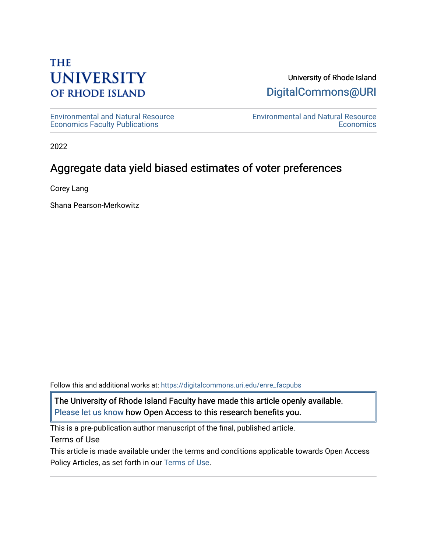# **THE UNIVERSITY OF RHODE ISLAND**

## University of Rhode Island [DigitalCommons@URI](https://digitalcommons.uri.edu/)

[Environmental and Natural Resource](https://digitalcommons.uri.edu/enre_facpubs)  [Economics Faculty Publications](https://digitalcommons.uri.edu/enre_facpubs)

[Environmental and Natural Resource](https://digitalcommons.uri.edu/enre)  **Economics** 

2022

# Aggregate data yield biased estimates of voter preferences

Corey Lang

Shana Pearson-Merkowitz

Follow this and additional works at: [https://digitalcommons.uri.edu/enre\\_facpubs](https://digitalcommons.uri.edu/enre_facpubs?utm_source=digitalcommons.uri.edu%2Fenre_facpubs%2F64&utm_medium=PDF&utm_campaign=PDFCoverPages)

The University of Rhode Island Faculty have made this article openly available. [Please let us know](http://web.uri.edu/library-digital-initiatives/open-access-online-form/) how Open Access to this research benefits you.

This is a pre-publication author manuscript of the final, published article.

Terms of Use

This article is made available under the terms and conditions applicable towards Open Access Policy Articles, as set forth in our [Terms of Use](https://digitalcommons.uri.edu/enre_facpubs/oa_policy_terms.html).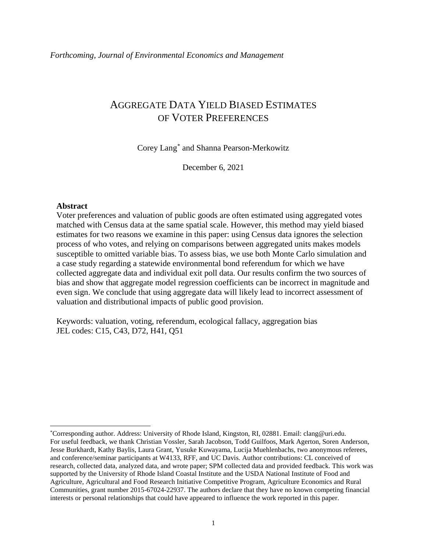## AGGREGATE DATA YIELD BIASED ESTIMATES OF VOTER PREFERENCES

Corey Lang[\\*](#page-1-0) and Shanna Pearson-Merkowitz

December 6, 2021

#### **Abstract**

l

Voter preferences and valuation of public goods are often estimated using aggregated votes matched with Census data at the same spatial scale. However, this method may yield biased estimates for two reasons we examine in this paper: using Census data ignores the selection process of who votes, and relying on comparisons between aggregated units makes models susceptible to omitted variable bias. To assess bias, we use both Monte Carlo simulation and a case study regarding a statewide environmental bond referendum for which we have collected aggregate data and individual exit poll data. Our results confirm the two sources of bias and show that aggregate model regression coefficients can be incorrect in magnitude and even sign. We conclude that using aggregate data will likely lead to incorrect assessment of valuation and distributional impacts of public good provision.

Keywords: valuation, voting, referendum, ecological fallacy, aggregation bias JEL codes: C15, C43, D72, H41, Q51

<span id="page-1-0"></span><sup>\*</sup> Corresponding author. Address: University of Rhode Island, Kingston, RI, 02881. Email: clang@uri.edu. For useful feedback, we thank Christian Vossler, Sarah Jacobson, Todd Guilfoos, Mark Agerton, Soren Anderson, Jesse Burkhardt, Kathy Baylis, Laura Grant, Yusuke Kuwayama, Lucija Muehlenbachs, two anonymous referees, and conference/seminar participants at W4133, RFF, and UC Davis. Author contributions: CL conceived of research, collected data, analyzed data, and wrote paper; SPM collected data and provided feedback. This work was supported by the University of Rhode Island Coastal Institute and the USDA National Institute of Food and Agriculture, Agricultural and Food Research Initiative Competitive Program, Agriculture Economics and Rural Communities, grant number 2015-67024-22937. The authors declare that they have no known competing financial interests or personal relationships that could have appeared to influence the work reported in this paper.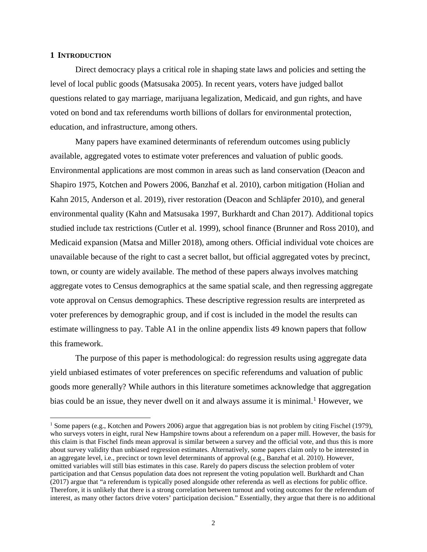## **1 INTRODUCTION**

l

Direct democracy plays a critical role in shaping state laws and policies and setting the level of local public goods (Matsusaka 2005). In recent years, voters have judged ballot questions related to gay marriage, marijuana legalization, Medicaid, and gun rights, and have voted on bond and tax referendums worth billions of dollars for environmental protection, education, and infrastructure, among others.

Many papers have examined determinants of referendum outcomes using publicly available, aggregated votes to estimate voter preferences and valuation of public goods. Environmental applications are most common in areas such as land conservation (Deacon and Shapiro 1975, Kotchen and Powers 2006, Banzhaf et al. 2010), carbon mitigation (Holian and Kahn 2015, Anderson et al. 2019), river restoration (Deacon and Schläpfer 2010), and general environmental quality (Kahn and Matsusaka 1997, Burkhardt and Chan 2017). Additional topics studied include tax restrictions (Cutler et al. 1999), school finance (Brunner and Ross 2010), and Medicaid expansion (Matsa and Miller 2018), among others. Official individual vote choices are unavailable because of the right to cast a secret ballot, but official aggregated votes by precinct, town, or county are widely available. The method of these papers always involves matching aggregate votes to Census demographics at the same spatial scale, and then regressing aggregate vote approval on Census demographics. These descriptive regression results are interpreted as voter preferences by demographic group, and if cost is included in the model the results can estimate willingness to pay. Table A1 in the online appendix lists 49 known papers that follow this framework.

The purpose of this paper is methodological: do regression results using aggregate data yield unbiased estimates of voter preferences on specific referendums and valuation of public goods more generally? While authors in this literature sometimes acknowledge that aggregation bias could be an issue, they never dwell on it and always assume it is minimal.<sup>[1](#page-2-0)</sup> However, we

<span id="page-2-0"></span><sup>&</sup>lt;sup>1</sup> Some papers (e.g., Kotchen and Powers 2006) argue that aggregation bias is not problem by citing Fischel (1979), who surveys voters in eight, rural New Hampshire towns about a referendum on a paper mill. However, the basis for this claim is that Fischel finds mean approval is similar between a survey and the official vote, and thus this is more about survey validity than unbiased regression estimates. Alternatively, some papers claim only to be interested in an aggregate level, i.e., precinct or town level determinants of approval (e.g., Banzhaf et al. 2010). However, omitted variables will still bias estimates in this case. Rarely do papers discuss the selection problem of voter participation and that Census population data does not represent the voting population well. Burkhardt and Chan (2017) argue that "a referendum is typically posed alongside other referenda as well as elections for public office. Therefore, it is unlikely that there is a strong correlation between turnout and voting outcomes for the referendum of interest, as many other factors drive voters' participation decision." Essentially, they argue that there is no additional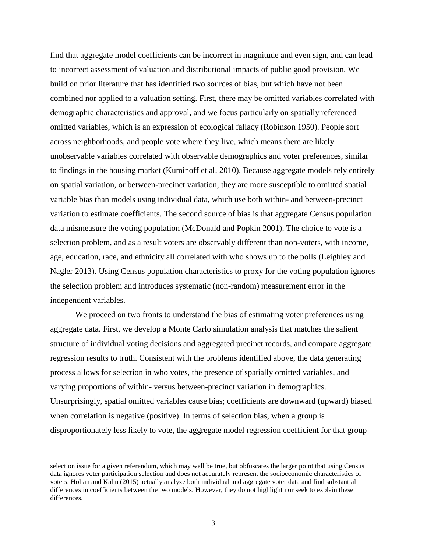find that aggregate model coefficients can be incorrect in magnitude and even sign, and can lead to incorrect assessment of valuation and distributional impacts of public good provision. We build on prior literature that has identified two sources of bias, but which have not been combined nor applied to a valuation setting. First, there may be omitted variables correlated with demographic characteristics and approval, and we focus particularly on spatially referenced omitted variables, which is an expression of ecological fallacy (Robinson 1950). People sort across neighborhoods, and people vote where they live, which means there are likely unobservable variables correlated with observable demographics and voter preferences, similar to findings in the housing market (Kuminoff et al. 2010). Because aggregate models rely entirely on spatial variation, or between-precinct variation, they are more susceptible to omitted spatial variable bias than models using individual data, which use both within- and between-precinct variation to estimate coefficients. The second source of bias is that aggregate Census population data mismeasure the voting population (McDonald and Popkin 2001). The choice to vote is a selection problem, and as a result voters are observably different than non-voters, with income, age, education, race, and ethnicity all correlated with who shows up to the polls (Leighley and Nagler 2013). Using Census population characteristics to proxy for the voting population ignores the selection problem and introduces systematic (non-random) measurement error in the independent variables.

We proceed on two fronts to understand the bias of estimating voter preferences using aggregate data. First, we develop a Monte Carlo simulation analysis that matches the salient structure of individual voting decisions and aggregated precinct records, and compare aggregate regression results to truth. Consistent with the problems identified above, the data generating process allows for selection in who votes, the presence of spatially omitted variables, and varying proportions of within- versus between-precinct variation in demographics. Unsurprisingly, spatial omitted variables cause bias; coefficients are downward (upward) biased when correlation is negative (positive). In terms of selection bias, when a group is disproportionately less likely to vote, the aggregate model regression coefficient for that group

 $\overline{\phantom{a}}$ 

selection issue for a given referendum, which may well be true, but obfuscates the larger point that using Census data ignores voter participation selection and does not accurately represent the socioeconomic characteristics of voters. Holian and Kahn (2015) actually analyze both individual and aggregate voter data and find substantial differences in coefficients between the two models. However, they do not highlight nor seek to explain these differences.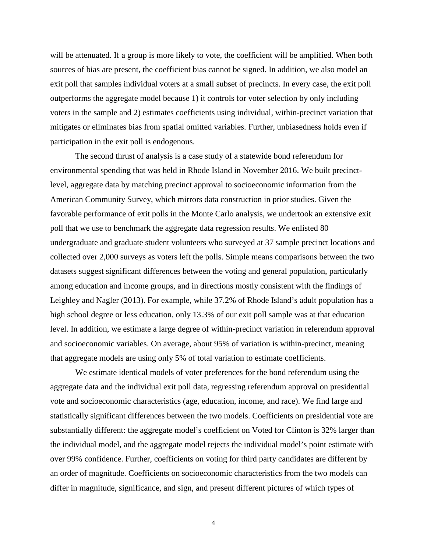will be attenuated. If a group is more likely to vote, the coefficient will be amplified. When both sources of bias are present, the coefficient bias cannot be signed. In addition, we also model an exit poll that samples individual voters at a small subset of precincts. In every case, the exit poll outperforms the aggregate model because 1) it controls for voter selection by only including voters in the sample and 2) estimates coefficients using individual, within-precinct variation that mitigates or eliminates bias from spatial omitted variables. Further, unbiasedness holds even if participation in the exit poll is endogenous.

The second thrust of analysis is a case study of a statewide bond referendum for environmental spending that was held in Rhode Island in November 2016. We built precinctlevel, aggregate data by matching precinct approval to socioeconomic information from the American Community Survey, which mirrors data construction in prior studies. Given the favorable performance of exit polls in the Monte Carlo analysis, we undertook an extensive exit poll that we use to benchmark the aggregate data regression results. We enlisted 80 undergraduate and graduate student volunteers who surveyed at 37 sample precinct locations and collected over 2,000 surveys as voters left the polls. Simple means comparisons between the two datasets suggest significant differences between the voting and general population, particularly among education and income groups, and in directions mostly consistent with the findings of Leighley and Nagler (2013). For example, while 37.2% of Rhode Island's adult population has a high school degree or less education, only 13.3% of our exit poll sample was at that education level. In addition, we estimate a large degree of within-precinct variation in referendum approval and socioeconomic variables. On average, about 95% of variation is within-precinct, meaning that aggregate models are using only 5% of total variation to estimate coefficients.

We estimate identical models of voter preferences for the bond referendum using the aggregate data and the individual exit poll data, regressing referendum approval on presidential vote and socioeconomic characteristics (age, education, income, and race). We find large and statistically significant differences between the two models. Coefficients on presidential vote are substantially different: the aggregate model's coefficient on Voted for Clinton is 32% larger than the individual model, and the aggregate model rejects the individual model's point estimate with over 99% confidence. Further, coefficients on voting for third party candidates are different by an order of magnitude. Coefficients on socioeconomic characteristics from the two models can differ in magnitude, significance, and sign, and present different pictures of which types of

4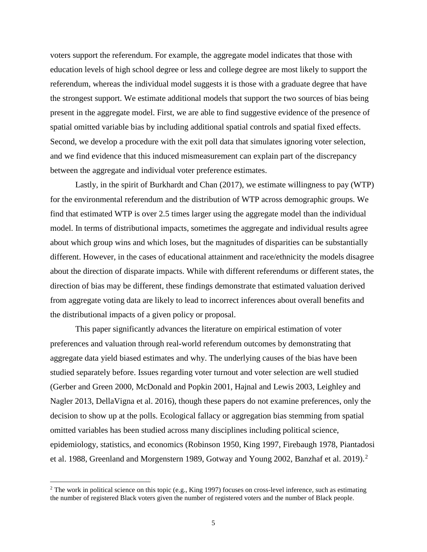voters support the referendum. For example, the aggregate model indicates that those with education levels of high school degree or less and college degree are most likely to support the referendum, whereas the individual model suggests it is those with a graduate degree that have the strongest support. We estimate additional models that support the two sources of bias being present in the aggregate model. First, we are able to find suggestive evidence of the presence of spatial omitted variable bias by including additional spatial controls and spatial fixed effects. Second, we develop a procedure with the exit poll data that simulates ignoring voter selection, and we find evidence that this induced mismeasurement can explain part of the discrepancy between the aggregate and individual voter preference estimates.

Lastly, in the spirit of Burkhardt and Chan (2017), we estimate willingness to pay (WTP) for the environmental referendum and the distribution of WTP across demographic groups. We find that estimated WTP is over 2.5 times larger using the aggregate model than the individual model. In terms of distributional impacts, sometimes the aggregate and individual results agree about which group wins and which loses, but the magnitudes of disparities can be substantially different. However, in the cases of educational attainment and race/ethnicity the models disagree about the direction of disparate impacts. While with different referendums or different states, the direction of bias may be different, these findings demonstrate that estimated valuation derived from aggregate voting data are likely to lead to incorrect inferences about overall benefits and the distributional impacts of a given policy or proposal.

This paper significantly advances the literature on empirical estimation of voter preferences and valuation through real-world referendum outcomes by demonstrating that aggregate data yield biased estimates and why. The underlying causes of the bias have been studied separately before. Issues regarding voter turnout and voter selection are well studied (Gerber and Green 2000, McDonald and Popkin 2001, Hajnal and Lewis 2003, Leighley and Nagler 2013, DellaVigna et al. 2016), though these papers do not examine preferences, only the decision to show up at the polls. Ecological fallacy or aggregation bias stemming from spatial omitted variables has been studied across many disciplines including political science, epidemiology, statistics, and economics (Robinson 1950, King 1997, Firebaugh 1978, Piantadosi et al. 1988, Greenland and Morgenstern 1989, Gotway and Young [2](#page-5-0)002, Banzhaf et al. 2019).<sup>2</sup>

l

<span id="page-5-0"></span><sup>&</sup>lt;sup>2</sup> The work in political science on this topic (e.g., King 1997) focuses on cross-level inference, such as estimating the number of registered Black voters given the number of registered voters and the number of Black people.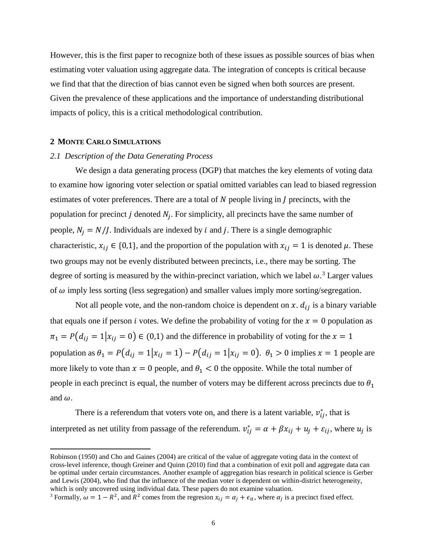However, this is the first paper to recognize both of these issues as possible sources of bias when estimating voter valuation using aggregate data. The integration of concepts is critical because we find that that the direction of bias cannot even be signed when both sources are present. Given the prevalence of these applications and the importance of understanding distributional impacts of policy, this is a critical methodological contribution.

## **2 MONTE CARLO SIMULATIONS**

l

### *2.1 Description of the Data Generating Process*

We design a data generating process (DGP) that matches the key elements of voting data to examine how ignoring voter selection or spatial omitted variables can lead to biased regression estimates of voter preferences. There are a total of  $N$  people living in  $J$  precincts, with the population for precinct *j* denoted  $N_i$ . For simplicity, all precincts have the same number of people,  $N_i = N/I$ . Individuals are indexed by *i* and *j*. There is a single demographic characteristic,  $x_{ij} \in \{0,1\}$ , and the proportion of the population with  $x_{ij} = 1$  is denoted  $\mu$ . These two groups may not be evenly distributed between precincts, i.e., there may be sorting. The degree of sorting is measured by the within-precinct variation, which we label  $\omega$ .<sup>[3](#page-6-0)</sup> Larger values of  $\omega$  imply less sorting (less segregation) and smaller values imply more sorting/segregation.

Not all people vote, and the non-random choice is dependent on x.  $d_{ij}$  is a binary variable that equals one if person *i* votes. We define the probability of voting for the  $x = 0$  population as  $\pi_1 = P(d_{ij} = 1 | x_{ij} = 0) \in (0,1)$  and the difference in probability of voting for the  $x = 1$ population as  $\theta_1 = P(d_{ij} = 1 | x_{ij} = 1) - P(d_{ij} = 1 | x_{ij} = 0)$ .  $\theta_1 > 0$  implies  $x = 1$  people are more likely to vote than  $x = 0$  people, and  $\theta_1 < 0$  the opposite. While the total number of people in each precinct is equal, the number of voters may be different across precincts due to  $\theta_1$ and  $\omega$ .

There is a referendum that voters vote on, and there is a latent variable,  $v_{ij}^*$ , that is interpreted as net utility from passage of the referendum.  $v_{ij}^* = \alpha + \beta x_{ij} + u_j + \varepsilon_{ij}$ , where  $u_j$  is

Robinson (1950) and Cho and Gaines (2004) are critical of the value of aggregate voting data in the context of cross-level inference, though Greiner and Quinn (2010) find that a combination of exit poll and aggregate data can be optimal under certain circumstances. Another example of aggregation bias research in political science is Gerber and Lewis (2004), who find that the influence of the median voter is dependent on within-district heterogeneity, which is only uncovered using individual data. These papers do not examine valuation.<br><sup>3</sup> Formally,  $\omega = 1 - R^2$ , and  $R^2$  comes from the regresion  $x_{ij} = \alpha_j + \epsilon_{it}$ , where  $\alpha_j$  is a precinct fixed effect.

<span id="page-6-0"></span>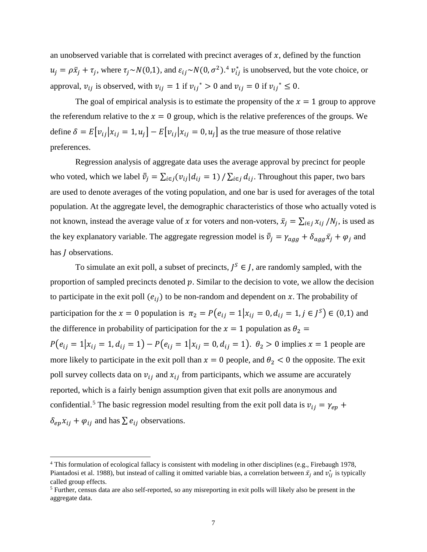an unobserved variable that is correlated with precinct averages of  $x$ , defined by the function  $u_j = \rho \bar{x}_j + \tau_j$ , where  $\tau_j \sim N(0, 1)$ , and  $\varepsilon_{ij} \sim N(0, \sigma^2)$ .<sup>[4](#page-7-0)</sup>  $v_{ij}^*$  is unobserved, but the vote choice, or approval,  $v_{ij}$  is observed, with  $v_{ij} = 1$  if  $v_{ij}^* > 0$  and  $v_{ij} = 0$  if  $v_{ij}^* \le 0$ .

The goal of empirical analysis is to estimate the propensity of the  $x = 1$  group to approve the referendum relative to the  $x = 0$  group, which is the relative preferences of the groups. We define  $\delta = E[v_{ij} | x_{ij} = 1, u_j] - E[v_{ij} | x_{ij} = 0, u_j]$  as the true measure of those relative preferences.

Regression analysis of aggregate data uses the average approval by precinct for people who voted, which we label  $\bar{\bar{v}}_j = \sum_{i \in j} (v_{ij} | d_{ij} = 1) / \sum_{i \in j} d_{ij}$ . Throughout this paper, two bars are used to denote averages of the voting population, and one bar is used for averages of the total population. At the aggregate level, the demographic characteristics of those who actually voted is not known, instead the average value of x for voters and non-voters,  $\bar{x}_j = \sum_{i \in j} x_{ij} / N_j$ , is used as the key explanatory variable. The aggregate regression model is  $\bar{\bar{v}}_j = \gamma_{agg} + \delta_{agg} \bar{x}_j + \varphi_j$  and has *I* observations.

To simulate an exit poll, a subset of precincts,  $I^S \in I$ , are randomly sampled, with the proportion of sampled precincts denoted  $p$ . Similar to the decision to vote, we allow the decision to participate in the exit poll  $(e_{ij})$  to be non-random and dependent on x. The probability of participation for the  $x = 0$  population is  $\pi_2 = P(e_{ij} = 1 | x_{ij} = 0, d_{ij} = 1, j \in J^S) \in (0,1)$  and the difference in probability of participation for the  $x = 1$  population as  $\theta_2 =$  $P(e_{ii} = 1 | x_{ii} = 1, d_{ii} = 1) - P(e_{ii} = 1 | x_{ii} = 0, d_{ii} = 1)$ .  $\theta_2 > 0$  implies  $x = 1$  people are more likely to participate in the exit poll than  $x = 0$  people, and  $\theta_2 < 0$  the opposite. The exit poll survey collects data on  $v_{ij}$  and  $x_{ij}$  from participants, which we assume are accurately reported, which is a fairly benign assumption given that exit polls are anonymous and confidential.<sup>[5](#page-7-1)</sup> The basic regression model resulting from the exit poll data is  $v_{ij} = \gamma_{ep} + \gamma_{ep}$  $\delta_{ep}x_{ij} + \varphi_{ij}$  and has  $\sum e_{ij}$  observations.

l

<span id="page-7-0"></span><sup>&</sup>lt;sup>4</sup> This formulation of ecological fallacy is consistent with modeling in other disciplines (e.g., Firebaugh 1978, Piantadosi et al. 1988), but instead of calling it omitted variable bias, a correlation between  $\bar{x}_j$  and  $v_{ij}^*$  is typically called group effects.

<span id="page-7-1"></span><sup>5</sup> Further, census data are also self-reported, so any misreporting in exit polls will likely also be present in the aggregate data.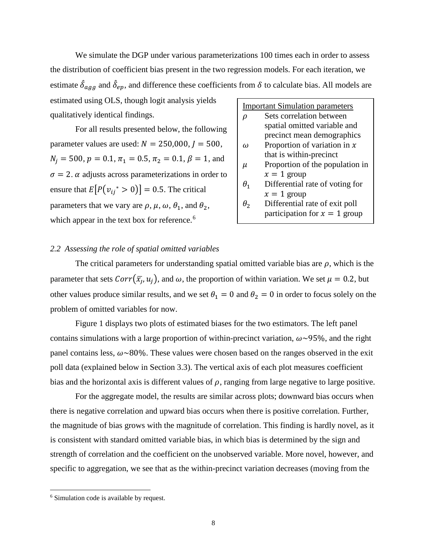We simulate the DGP under various parameterizations 100 times each in order to assess the distribution of coefficient bias present in the two regression models. For each iteration, we estimate  $\delta_{agg}$  and  $\delta_{ep}$ , and difference these coefficients from  $\delta$  to calculate bias. All models are

estimated using OLS, though logit analysis yields qualitatively identical findings.

For all results presented below, the following parameter values are used:  $N = 250,000, I = 500$ ,  $N_i = 500$ ,  $p = 0.1$ ,  $\pi_1 = 0.5$ ,  $\pi_2 = 0.1$ ,  $\beta = 1$ , and  $\sigma = 2$ .  $\alpha$  adjusts across parameterizations in order to ensure that  $E[P(v_{ii}^* > 0)] = 0.5$ . The critical parameters that we vary are  $\rho$ ,  $\mu$ ,  $\omega$ ,  $\theta_1$ , and  $\theta_2$ , which appear in the text box for reference.<sup>[6](#page-8-0)</sup>

| <b>Important Simulation parameters</b> |                                 |  |  |  |
|----------------------------------------|---------------------------------|--|--|--|
| D                                      | Sets correlation between        |  |  |  |
|                                        | spatial omitted variable and    |  |  |  |
|                                        | precinct mean demographics      |  |  |  |
| $\bf{u}$                               | Proportion of variation in $x$  |  |  |  |
|                                        | that is within-precinct         |  |  |  |
| $\mu$                                  | Proportion of the population in |  |  |  |
|                                        | $x = 1$ group                   |  |  |  |
| $\theta_1$                             | Differential rate of voting for |  |  |  |
|                                        | $x = 1$ group                   |  |  |  |
| $\theta_2$                             | Differential rate of exit poll  |  |  |  |
|                                        | participation for $x = 1$ group |  |  |  |

## *2.2 Assessing the role of spatial omitted variables*

The critical parameters for understanding spatial omitted variable bias are  $\rho$ , which is the parameter that sets  $Corr(\bar{x}_i, u_i)$ , and  $\omega$ , the proportion of within variation. We set  $\mu = 0.2$ , but other values produce similar results, and we set  $\theta_1 = 0$  and  $\theta_2 = 0$  in order to focus solely on the problem of omitted variables for now.

Figure 1 displays two plots of estimated biases for the two estimators. The left panel contains simulations with a large proportion of within-precinct variation,  $\omega \sim 95\%$ , and the right panel contains less,  $\omega \sim 80\%$ . These values were chosen based on the ranges observed in the exit poll data (explained below in Section 3.3). The vertical axis of each plot measures coefficient bias and the horizontal axis is different values of  $\rho$ , ranging from large negative to large positive.

For the aggregate model, the results are similar across plots; downward bias occurs when there is negative correlation and upward bias occurs when there is positive correlation. Further, the magnitude of bias grows with the magnitude of correlation. This finding is hardly novel, as it is consistent with standard omitted variable bias, in which bias is determined by the sign and strength of correlation and the coefficient on the unobserved variable. More novel, however, and specific to aggregation, we see that as the within-precinct variation decreases (moving from the

l

<span id="page-8-0"></span><sup>&</sup>lt;sup>6</sup> Simulation code is available by request.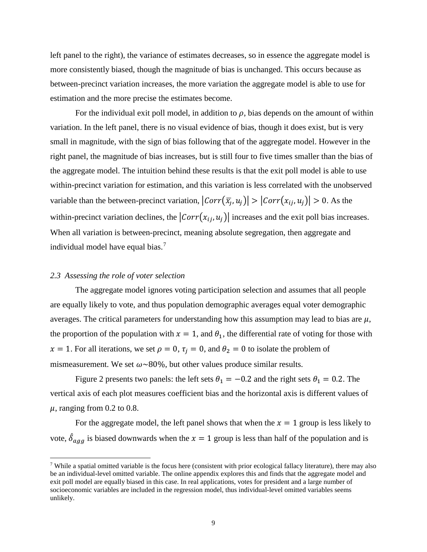left panel to the right), the variance of estimates decreases, so in essence the aggregate model is more consistently biased, though the magnitude of bias is unchanged. This occurs because as between-precinct variation increases, the more variation the aggregate model is able to use for estimation and the more precise the estimates become.

For the individual exit poll model, in addition to  $\rho$ , bias depends on the amount of within variation. In the left panel, there is no visual evidence of bias, though it does exist, but is very small in magnitude, with the sign of bias following that of the aggregate model. However in the right panel, the magnitude of bias increases, but is still four to five times smaller than the bias of the aggregate model. The intuition behind these results is that the exit poll model is able to use within-precinct variation for estimation, and this variation is less correlated with the unobserved variable than the between-precinct variation,  $|Corr(\bar{x}_i, u_i)| > |Corr(x_i, u_i)| > 0$ . As the within-precinct variation declines, the  $|Corr(x_{ij}, u_j)|$  increases and the exit poll bias increases. When all variation is between-precinct, meaning absolute segregation, then aggregate and individual model have equal bias.<sup>[7](#page-9-0)</sup>

### *2.3 Assessing the role of voter selection*

 $\overline{\phantom{a}}$ 

The aggregate model ignores voting participation selection and assumes that all people are equally likely to vote, and thus population demographic averages equal voter demographic averages. The critical parameters for understanding how this assumption may lead to bias are  $\mu$ , the proportion of the population with  $x = 1$ , and  $\theta_1$ , the differential rate of voting for those with  $x = 1$ . For all iterations, we set  $\rho = 0$ ,  $\tau_i = 0$ , and  $\theta_2 = 0$  to isolate the problem of mismeasurement. We set  $\omega \sim 80\%$ , but other values produce similar results.

Figure 2 presents two panels: the left sets  $\theta_1 = -0.2$  and the right sets  $\theta_1 = 0.2$ . The vertical axis of each plot measures coefficient bias and the horizontal axis is different values of  $\mu$ , ranging from 0.2 to 0.8.

For the aggregate model, the left panel shows that when the  $x = 1$  group is less likely to vote,  $\delta_{agg}$  is biased downwards when the  $x = 1$  group is less than half of the population and is

<span id="page-9-0"></span><sup>7</sup> While a spatial omitted variable is the focus here (consistent with prior ecological fallacy literature), there may also be an individual-level omitted variable. The online appendix explores this and finds that the aggregate model and exit poll model are equally biased in this case. In real applications, votes for president and a large number of socioeconomic variables are included in the regression model, thus individual-level omitted variables seems unlikely.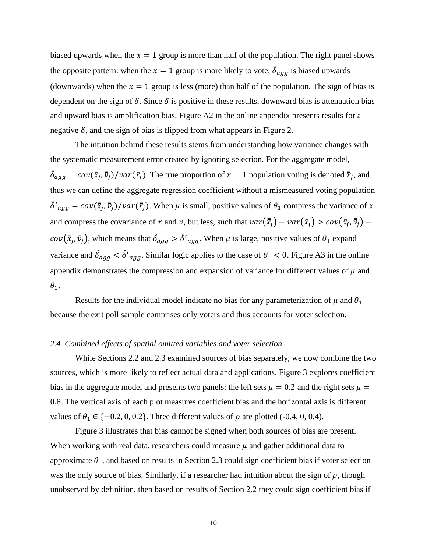biased upwards when the  $x = 1$  group is more than half of the population. The right panel shows the opposite pattern: when the  $x = 1$  group is more likely to vote,  $\delta_{agg}$  is biased upwards (downwards) when the  $x = 1$  group is less (more) than half of the population. The sign of bias is dependent on the sign of  $\delta$ . Since  $\delta$  is positive in these results, downward bias is attenuation bias and upward bias is amplification bias. Figure A2 in the online appendix presents results for a negative  $\delta$ , and the sign of bias is flipped from what appears in Figure 2.

The intuition behind these results stems from understanding how variance changes with the systematic measurement error created by ignoring selection. For the aggregate model,  $\hat{\delta}_{agg} = cov(\bar{x}_j, \bar{v}_j)/var(\bar{x}_j)$ . The true proportion of  $x = 1$  population voting is denoted  $\bar{\bar{x}}_j$ , and thus we can define the aggregate regression coefficient without a mismeasured voting population  $\delta'_{agg} = cov(\bar{\bar{x}}_j, \bar{\bar{v}}_j)/var(\bar{\bar{x}}_j)$ . When  $\mu$  is small, positive values of  $\theta_1$  compress the variance of x and compress the covariance of x and v, but less, such that  $var(\bar{x}_j) - var(\bar{x}_j) > cov(\bar{x}_j, \bar{v}_j)$  $cov(\bar{\bar{x}}_j, \bar{\bar{v}}_j)$ , which means that  $\delta_{agg} > \delta'_{agg}$ . When  $\mu$  is large, positive values of  $\theta_1$  expand variance and  $\delta_{agg} < \delta'_{agg}$ . Similar logic applies to the case of  $\theta_1 < 0$ . Figure A3 in the online appendix demonstrates the compression and expansion of variance for different values of  $\mu$  and  $\theta_1$ .

Results for the individual model indicate no bias for any parameterization of  $\mu$  and  $\theta_1$ because the exit poll sample comprises only voters and thus accounts for voter selection.

#### *2.4 Combined effects of spatial omitted variables and voter selection*

While Sections 2.2 and 2.3 examined sources of bias separately, we now combine the two sources, which is more likely to reflect actual data and applications. Figure 3 explores coefficient bias in the aggregate model and presents two panels: the left sets  $\mu = 0.2$  and the right sets  $\mu =$ 0.8. The vertical axis of each plot measures coefficient bias and the horizontal axis is different values of  $\theta_1 \in \{-0.2, 0, 0.2\}$ . Three different values of  $\rho$  are plotted (-0.4, 0, 0.4).

Figure 3 illustrates that bias cannot be signed when both sources of bias are present. When working with real data, researchers could measure  $\mu$  and gather additional data to approximate  $\theta_1$ , and based on results in Section 2.3 could sign coefficient bias if voter selection was the only source of bias. Similarly, if a researcher had intuition about the sign of  $\rho$ , though unobserved by definition, then based on results of Section 2.2 they could sign coefficient bias if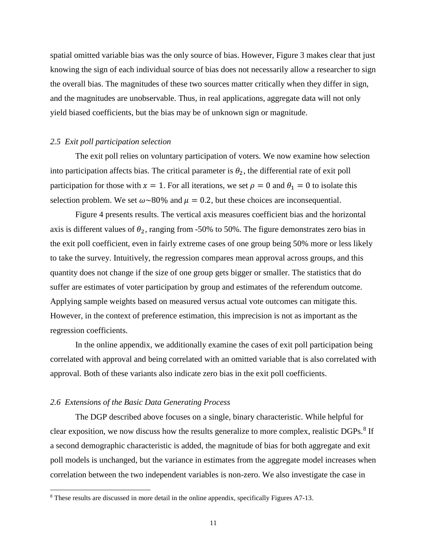spatial omitted variable bias was the only source of bias. However, Figure 3 makes clear that just knowing the sign of each individual source of bias does not necessarily allow a researcher to sign the overall bias. The magnitudes of these two sources matter critically when they differ in sign, and the magnitudes are unobservable. Thus, in real applications, aggregate data will not only yield biased coefficients, but the bias may be of unknown sign or magnitude.

## *2.5 Exit poll participation selection*

The exit poll relies on voluntary participation of voters. We now examine how selection into participation affects bias. The critical parameter is  $\theta_2$ , the differential rate of exit poll participation for those with  $x = 1$ . For all iterations, we set  $\rho = 0$  and  $\theta_1 = 0$  to isolate this selection problem. We set  $\omega \sim 80\%$  and  $\mu = 0.2$ , but these choices are inconsequential.

Figure 4 presents results. The vertical axis measures coefficient bias and the horizontal axis is different values of  $\theta_2$ , ranging from -50% to 50%. The figure demonstrates zero bias in the exit poll coefficient, even in fairly extreme cases of one group being 50% more or less likely to take the survey. Intuitively, the regression compares mean approval across groups, and this quantity does not change if the size of one group gets bigger or smaller. The statistics that do suffer are estimates of voter participation by group and estimates of the referendum outcome. Applying sample weights based on measured versus actual vote outcomes can mitigate this. However, in the context of preference estimation, this imprecision is not as important as the regression coefficients.

In the online appendix, we additionally examine the cases of exit poll participation being correlated with approval and being correlated with an omitted variable that is also correlated with approval. Both of these variants also indicate zero bias in the exit poll coefficients.

#### *2.6 Extensions of the Basic Data Generating Process*

l

The DGP described above focuses on a single, binary characteristic. While helpful for clear exposition, we now discuss how the results generalize to more complex, realistic DGPs.<sup>[8](#page-11-0)</sup> If a second demographic characteristic is added, the magnitude of bias for both aggregate and exit poll models is unchanged, but the variance in estimates from the aggregate model increases when correlation between the two independent variables is non-zero. We also investigate the case in

<span id="page-11-0"></span><sup>8</sup> These results are discussed in more detail in the online appendix, specifically Figures A7-13.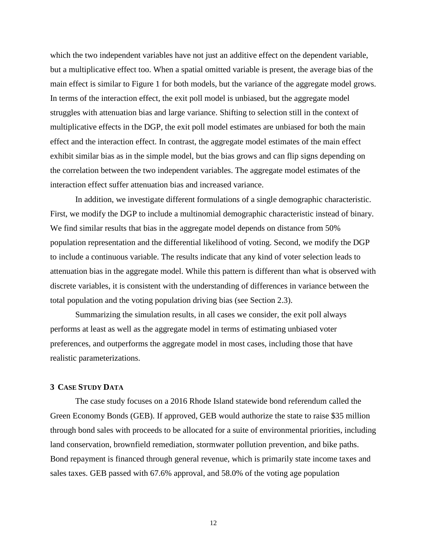which the two independent variables have not just an additive effect on the dependent variable, but a multiplicative effect too. When a spatial omitted variable is present, the average bias of the main effect is similar to Figure 1 for both models, but the variance of the aggregate model grows. In terms of the interaction effect, the exit poll model is unbiased, but the aggregate model struggles with attenuation bias and large variance. Shifting to selection still in the context of multiplicative effects in the DGP, the exit poll model estimates are unbiased for both the main effect and the interaction effect. In contrast, the aggregate model estimates of the main effect exhibit similar bias as in the simple model, but the bias grows and can flip signs depending on the correlation between the two independent variables. The aggregate model estimates of the interaction effect suffer attenuation bias and increased variance.

In addition, we investigate different formulations of a single demographic characteristic. First, we modify the DGP to include a multinomial demographic characteristic instead of binary. We find similar results that bias in the aggregate model depends on distance from 50% population representation and the differential likelihood of voting. Second, we modify the DGP to include a continuous variable. The results indicate that any kind of voter selection leads to attenuation bias in the aggregate model. While this pattern is different than what is observed with discrete variables, it is consistent with the understanding of differences in variance between the total population and the voting population driving bias (see Section 2.3).

Summarizing the simulation results, in all cases we consider, the exit poll always performs at least as well as the aggregate model in terms of estimating unbiased voter preferences, and outperforms the aggregate model in most cases, including those that have realistic parameterizations.

## **3 CASE STUDY DATA**

The case study focuses on a 2016 Rhode Island statewide bond referendum called the Green Economy Bonds (GEB). If approved, GEB would authorize the state to raise \$35 million through bond sales with proceeds to be allocated for a suite of environmental priorities, including land conservation, brownfield remediation, stormwater pollution prevention, and bike paths. Bond repayment is financed through general revenue, which is primarily state income taxes and sales taxes. GEB passed with 67.6% approval, and 58.0% of the voting age population

12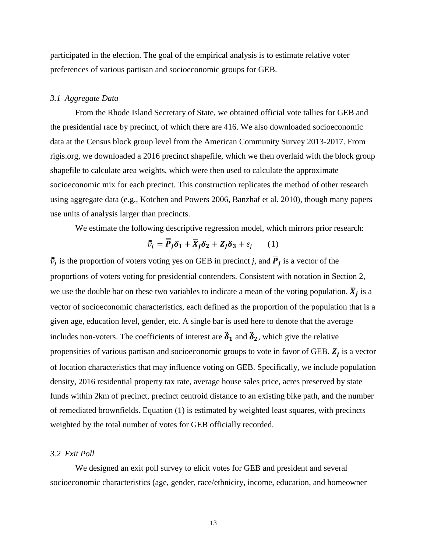participated in the election. The goal of the empirical analysis is to estimate relative voter preferences of various partisan and socioeconomic groups for GEB.

## *3.1 Aggregate Data*

From the Rhode Island Secretary of State, we obtained official vote tallies for GEB and the presidential race by precinct, of which there are 416. We also downloaded socioeconomic data at the Census block group level from the American Community Survey 2013-2017. From rigis.org, we downloaded a 2016 precinct shapefile, which we then overlaid with the block group shapefile to calculate area weights, which were then used to calculate the approximate socioeconomic mix for each precinct. This construction replicates the method of other research using aggregate data (e.g., Kotchen and Powers 2006, Banzhaf et al. 2010), though many papers use units of analysis larger than precincts.

We estimate the following descriptive regression model, which mirrors prior research:

$$
\bar{\bar{v}}_j = \overline{P}_j \delta_1 + \overline{X}_j \delta_2 + Z_j \delta_3 + \varepsilon_j \qquad (1)
$$

 $\bar{v}_j$  is the proportion of voters voting yes on GEB in precinct *j*, and  $\bar{P}_j$  is a vector of the proportions of voters voting for presidential contenders. Consistent with notation in Section 2, we use the double bar on these two variables to indicate a mean of the voting population.  $\overline{X}_i$  is a vector of socioeconomic characteristics, each defined as the proportion of the population that is a given age, education level, gender, etc. A single bar is used here to denote that the average includes non-voters. The coefficients of interest are  $\hat{\delta}_1$  and  $\hat{\delta}_2$ , which give the relative propensities of various partisan and socioeconomic groups to vote in favor of GEB.  $Z_i$  is a vector of location characteristics that may influence voting on GEB. Specifically, we include population density, 2016 residential property tax rate, average house sales price, acres preserved by state funds within 2km of precinct, precinct centroid distance to an existing bike path, and the number of remediated brownfields. Equation (1) is estimated by weighted least squares, with precincts weighted by the total number of votes for GEB officially recorded.

## *3.2 Exit Poll*

We designed an exit poll survey to elicit votes for GEB and president and several socioeconomic characteristics (age, gender, race/ethnicity, income, education, and homeowner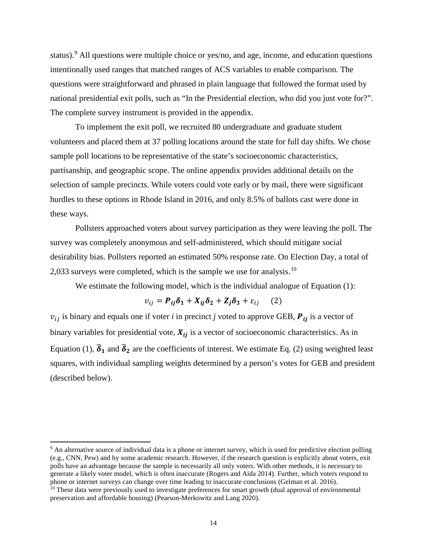status).<sup>[9](#page-14-0)</sup> All questions were multiple choice or yes/no, and age, income, and education questions intentionally used ranges that matched ranges of ACS variables to enable comparison. The questions were straightforward and phrased in plain language that followed the format used by national presidential exit polls, such as "In the Presidential election, who did you just vote for?". The complete survey instrument is provided in the appendix.

To implement the exit poll, we recruited 80 undergraduate and graduate student volunteers and placed them at 37 polling locations around the state for full day shifts. We chose sample poll locations to be representative of the state's socioeconomic characteristics, partisanship, and geographic scope. The online appendix provides additional details on the selection of sample precincts. While voters could vote early or by mail, there were significant hurdles to these options in Rhode Island in 2016, and only 8.5% of ballots cast were done in these ways.

Pollsters approached voters about survey participation as they were leaving the poll. The survey was completely anonymous and self-administered, which should mitigate social desirability bias. Pollsters reported an estimated 50% response rate. On Election Day, a total of 2,033 surveys were completed, which is the sample we use for analysis.[10](#page-14-1)

We estimate the following model, which is the individual analogue of Equation (1):

$$
v_{ij} = P_{ij}\delta_1 + X_{ij}\delta_2 + Z_j\delta_3 + \varepsilon_{ij} \quad (2)
$$

 $v_{ij}$  is binary and equals one if voter *i* in precinct *j* voted to approve GEB,  $P_{ij}$  is a vector of binary variables for presidential vote,  $X_{ij}$  is a vector of socioeconomic characteristics. As in Equation (1),  $\hat{\delta}_1$  and  $\hat{\delta}_2$  are the coefficients of interest. We estimate Eq. (2) using weighted least squares, with individual sampling weights determined by a person's votes for GEB and president (described below).

l

<span id="page-14-0"></span><sup>9</sup> An alternative source of individual data is a phone or internet survey, which is used for predictive election polling (e.g., CNN, Pew) and by some academic research. However, if the research question is explicitly about voters, exit polls have an advantage because the sample is necessarily all only voters. With other methods, it is necessary to generate a likely voter model, which is often inaccurate (Rogers and Aida 2014). Further, which voters respond to phone or internet surveys can change over time leading to inaccurate conclusions (Gelman et al. 2016).

<span id="page-14-1"></span><sup>&</sup>lt;sup>10</sup> These data were previously used to investigate preferences for smart growth (dual approval of environmental preservation and affordable housing) (Pearson-Merkowitz and Lang 2020).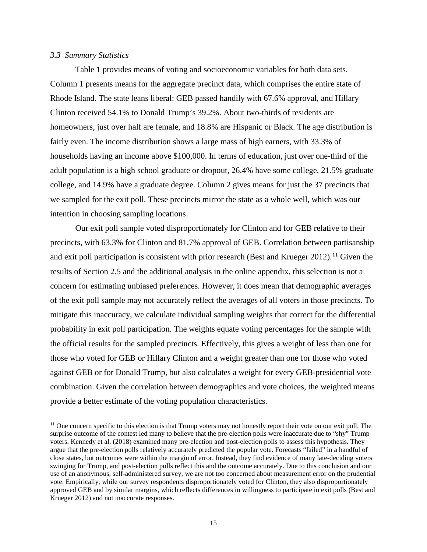## *3.3 Summary Statistics*

l

Table 1 provides means of voting and socioeconomic variables for both data sets. Column 1 presents means for the aggregate precinct data, which comprises the entire state of Rhode Island. The state leans liberal: GEB passed handily with 67.6% approval, and Hillary Clinton received 54.1% to Donald Trump's 39.2%. About two-thirds of residents are homeowners, just over half are female, and 18.8% are Hispanic or Black. The age distribution is fairly even. The income distribution shows a large mass of high earners, with 33.3% of households having an income above \$100,000. In terms of education, just over one-third of the adult population is a high school graduate or dropout, 26.4% have some college, 21.5% graduate college, and 14.9% have a graduate degree. Column 2 gives means for just the 37 precincts that we sampled for the exit poll. These precincts mirror the state as a whole well, which was our intention in choosing sampling locations.

Our exit poll sample voted disproportionately for Clinton and for GEB relative to their precincts, with 63.3% for Clinton and 81.7% approval of GEB. Correlation between partisanship and exit poll participation is consistent with prior research (Best and Krueger 2012).<sup>[11](#page-15-0)</sup> Given the results of Section 2.5 and the additional analysis in the online appendix, this selection is not a concern for estimating unbiased preferences. However, it does mean that demographic averages of the exit poll sample may not accurately reflect the averages of all voters in those precincts. To mitigate this inaccuracy, we calculate individual sampling weights that correct for the differential probability in exit poll participation. The weights equate voting percentages for the sample with the official results for the sampled precincts. Effectively, this gives a weight of less than one for those who voted for GEB or Hillary Clinton and a weight greater than one for those who voted against GEB or for Donald Trump, but also calculates a weight for every GEB-presidential vote combination. Given the correlation between demographics and vote choices, the weighted means provide a better estimate of the voting population characteristics.

<span id="page-15-0"></span> $11$  One concern specific to this election is that Trump voters may not honestly report their vote on our exit poll. The surprise outcome of the contest led many to believe that the pre-election polls were inaccurate due to "shy" Trump voters. Kennedy et al. (2018) examined many pre-election and post-election polls to assess this hypothesis. They argue that the pre-election polls relatively accurately predicted the popular vote. Forecasts "failed" in a handful of close states, but outcomes were within the margin of error. Instead, they find evidence of many late-deciding voters swinging for Trump, and post-election polls reflect this and the outcome accurately. Due to this conclusion and our use of an anonymous, self-administered survey, we are not too concerned about measurement error on the prudential vote. Empirically, while our survey respondents disproportionately voted for Clinton, they also disproportionately approved GEB and by similar margins, which reflects differences in willingness to participate in exit polls (Best and Krueger 2012) and not inaccurate responses.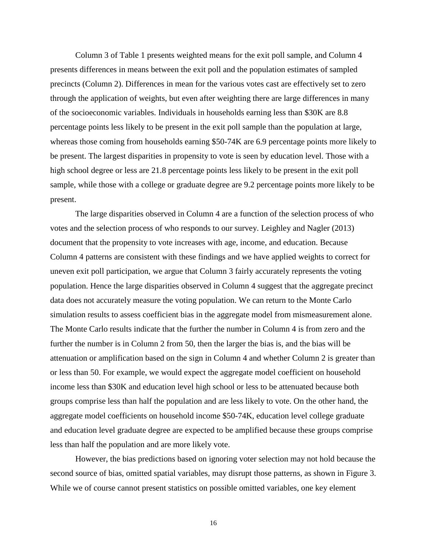Column 3 of Table 1 presents weighted means for the exit poll sample, and Column 4 presents differences in means between the exit poll and the population estimates of sampled precincts (Column 2). Differences in mean for the various votes cast are effectively set to zero through the application of weights, but even after weighting there are large differences in many of the socioeconomic variables. Individuals in households earning less than \$30K are 8.8 percentage points less likely to be present in the exit poll sample than the population at large, whereas those coming from households earning \$50-74K are 6.9 percentage points more likely to be present. The largest disparities in propensity to vote is seen by education level. Those with a high school degree or less are 21.8 percentage points less likely to be present in the exit poll sample, while those with a college or graduate degree are 9.2 percentage points more likely to be present.

The large disparities observed in Column 4 are a function of the selection process of who votes and the selection process of who responds to our survey. Leighley and Nagler (2013) document that the propensity to vote increases with age, income, and education. Because Column 4 patterns are consistent with these findings and we have applied weights to correct for uneven exit poll participation, we argue that Column 3 fairly accurately represents the voting population. Hence the large disparities observed in Column 4 suggest that the aggregate precinct data does not accurately measure the voting population. We can return to the Monte Carlo simulation results to assess coefficient bias in the aggregate model from mismeasurement alone. The Monte Carlo results indicate that the further the number in Column 4 is from zero and the further the number is in Column 2 from 50, then the larger the bias is, and the bias will be attenuation or amplification based on the sign in Column 4 and whether Column 2 is greater than or less than 50. For example, we would expect the aggregate model coefficient on household income less than \$30K and education level high school or less to be attenuated because both groups comprise less than half the population and are less likely to vote. On the other hand, the aggregate model coefficients on household income \$50-74K, education level college graduate and education level graduate degree are expected to be amplified because these groups comprise less than half the population and are more likely vote.

However, the bias predictions based on ignoring voter selection may not hold because the second source of bias, omitted spatial variables, may disrupt those patterns, as shown in Figure 3. While we of course cannot present statistics on possible omitted variables, one key element

16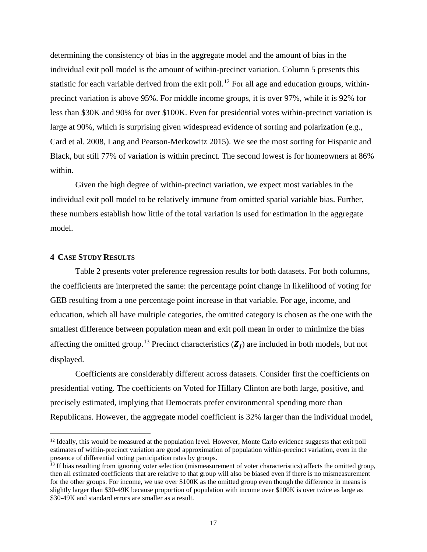determining the consistency of bias in the aggregate model and the amount of bias in the individual exit poll model is the amount of within-precinct variation. Column 5 presents this statistic for each variable derived from the exit poll.<sup>[12](#page-17-0)</sup> For all age and education groups, withinprecinct variation is above 95%. For middle income groups, it is over 97%, while it is 92% for less than \$30K and 90% for over \$100K. Even for presidential votes within-precinct variation is large at 90%, which is surprising given widespread evidence of sorting and polarization (e.g., Card et al. 2008, Lang and Pearson-Merkowitz 2015). We see the most sorting for Hispanic and Black, but still 77% of variation is within precinct. The second lowest is for homeowners at 86% within.

Given the high degree of within-precinct variation, we expect most variables in the individual exit poll model to be relatively immune from omitted spatial variable bias. Further, these numbers establish how little of the total variation is used for estimation in the aggregate model.

## **4 CASE STUDY RESULTS**

l

Table 2 presents voter preference regression results for both datasets. For both columns, the coefficients are interpreted the same: the percentage point change in likelihood of voting for GEB resulting from a one percentage point increase in that variable. For age, income, and education, which all have multiple categories, the omitted category is chosen as the one with the smallest difference between population mean and exit poll mean in order to minimize the bias affecting the omitted group.<sup>[13](#page-17-1)</sup> Precinct characteristics  $(Z_i)$  are included in both models, but not displayed.

Coefficients are considerably different across datasets. Consider first the coefficients on presidential voting. The coefficients on Voted for Hillary Clinton are both large, positive, and precisely estimated, implying that Democrats prefer environmental spending more than Republicans. However, the aggregate model coefficient is 32% larger than the individual model,

<span id="page-17-0"></span> $12$  Ideally, this would be measured at the population level. However, Monte Carlo evidence suggests that exit poll estimates of within-precinct variation are good approximation of population within-precinct variation, even in the presence of differential voting participation rates by groups.

<span id="page-17-1"></span><sup>&</sup>lt;sup>13</sup> If bias resulting from ignoring voter selection (mismeasurement of voter characteristics) affects the omitted group, then all estimated coefficients that are relative to that group will also be biased even if there is no mismeasurement for the other groups. For income, we use over \$100K as the omitted group even though the difference in means is slightly larger than \$30-49K because proportion of population with income over \$100K is over twice as large as \$30-49K and standard errors are smaller as a result.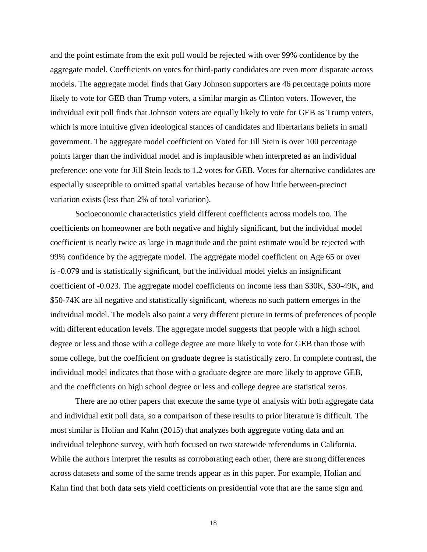and the point estimate from the exit poll would be rejected with over 99% confidence by the aggregate model. Coefficients on votes for third-party candidates are even more disparate across models. The aggregate model finds that Gary Johnson supporters are 46 percentage points more likely to vote for GEB than Trump voters, a similar margin as Clinton voters. However, the individual exit poll finds that Johnson voters are equally likely to vote for GEB as Trump voters, which is more intuitive given ideological stances of candidates and libertarians beliefs in small government. The aggregate model coefficient on Voted for Jill Stein is over 100 percentage points larger than the individual model and is implausible when interpreted as an individual preference: one vote for Jill Stein leads to 1.2 votes for GEB. Votes for alternative candidates are especially susceptible to omitted spatial variables because of how little between-precinct variation exists (less than 2% of total variation).

Socioeconomic characteristics yield different coefficients across models too. The coefficients on homeowner are both negative and highly significant, but the individual model coefficient is nearly twice as large in magnitude and the point estimate would be rejected with 99% confidence by the aggregate model. The aggregate model coefficient on Age 65 or over is -0.079 and is statistically significant, but the individual model yields an insignificant coefficient of -0.023. The aggregate model coefficients on income less than \$30K, \$30-49K, and \$50-74K are all negative and statistically significant, whereas no such pattern emerges in the individual model. The models also paint a very different picture in terms of preferences of people with different education levels. The aggregate model suggests that people with a high school degree or less and those with a college degree are more likely to vote for GEB than those with some college, but the coefficient on graduate degree is statistically zero. In complete contrast, the individual model indicates that those with a graduate degree are more likely to approve GEB, and the coefficients on high school degree or less and college degree are statistical zeros.

There are no other papers that execute the same type of analysis with both aggregate data and individual exit poll data, so a comparison of these results to prior literature is difficult. The most similar is Holian and Kahn (2015) that analyzes both aggregate voting data and an individual telephone survey, with both focused on two statewide referendums in California. While the authors interpret the results as corroborating each other, there are strong differences across datasets and some of the same trends appear as in this paper. For example, Holian and Kahn find that both data sets yield coefficients on presidential vote that are the same sign and

18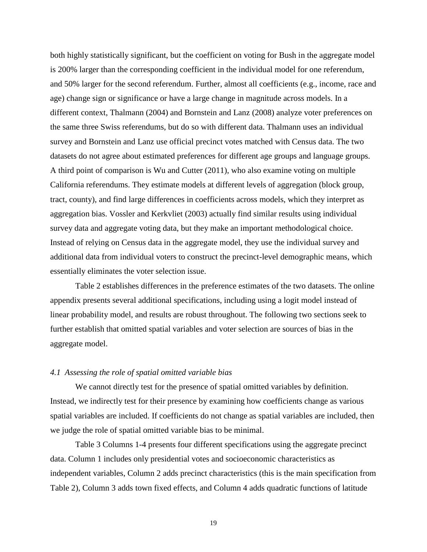both highly statistically significant, but the coefficient on voting for Bush in the aggregate model is 200% larger than the corresponding coefficient in the individual model for one referendum, and 50% larger for the second referendum. Further, almost all coefficients (e.g., income, race and age) change sign or significance or have a large change in magnitude across models. In a different context, Thalmann (2004) and Bornstein and Lanz (2008) analyze voter preferences on the same three Swiss referendums, but do so with different data. Thalmann uses an individual survey and Bornstein and Lanz use official precinct votes matched with Census data. The two datasets do not agree about estimated preferences for different age groups and language groups. A third point of comparison is Wu and Cutter (2011), who also examine voting on multiple California referendums. They estimate models at different levels of aggregation (block group, tract, county), and find large differences in coefficients across models, which they interpret as aggregation bias. Vossler and Kerkvliet (2003) actually find similar results using individual survey data and aggregate voting data, but they make an important methodological choice. Instead of relying on Census data in the aggregate model, they use the individual survey and additional data from individual voters to construct the precinct-level demographic means, which essentially eliminates the voter selection issue.

Table 2 establishes differences in the preference estimates of the two datasets. The online appendix presents several additional specifications, including using a logit model instead of linear probability model, and results are robust throughout. The following two sections seek to further establish that omitted spatial variables and voter selection are sources of bias in the aggregate model.

## *4.1 Assessing the role of spatial omitted variable bias*

We cannot directly test for the presence of spatial omitted variables by definition. Instead, we indirectly test for their presence by examining how coefficients change as various spatial variables are included. If coefficients do not change as spatial variables are included, then we judge the role of spatial omitted variable bias to be minimal.

Table 3 Columns 1-4 presents four different specifications using the aggregate precinct data. Column 1 includes only presidential votes and socioeconomic characteristics as independent variables, Column 2 adds precinct characteristics (this is the main specification from Table 2), Column 3 adds town fixed effects, and Column 4 adds quadratic functions of latitude

19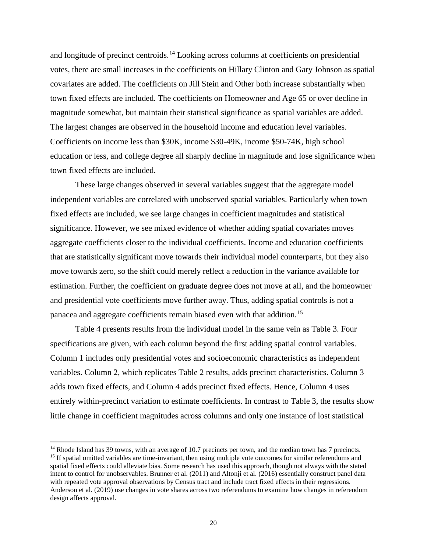and longitude of precinct centroids.<sup>[14](#page-20-0)</sup> Looking across columns at coefficients on presidential votes, there are small increases in the coefficients on Hillary Clinton and Gary Johnson as spatial covariates are added. The coefficients on Jill Stein and Other both increase substantially when town fixed effects are included. The coefficients on Homeowner and Age 65 or over decline in magnitude somewhat, but maintain their statistical significance as spatial variables are added. The largest changes are observed in the household income and education level variables. Coefficients on income less than \$30K, income \$30-49K, income \$50-74K, high school education or less, and college degree all sharply decline in magnitude and lose significance when town fixed effects are included.

These large changes observed in several variables suggest that the aggregate model independent variables are correlated with unobserved spatial variables. Particularly when town fixed effects are included, we see large changes in coefficient magnitudes and statistical significance. However, we see mixed evidence of whether adding spatial covariates moves aggregate coefficients closer to the individual coefficients. Income and education coefficients that are statistically significant move towards their individual model counterparts, but they also move towards zero, so the shift could merely reflect a reduction in the variance available for estimation. Further, the coefficient on graduate degree does not move at all, and the homeowner and presidential vote coefficients move further away. Thus, adding spatial controls is not a panacea and aggregate coefficients remain biased even with that addition.[15](#page-20-1)

Table 4 presents results from the individual model in the same vein as Table 3. Four specifications are given, with each column beyond the first adding spatial control variables. Column 1 includes only presidential votes and socioeconomic characteristics as independent variables. Column 2, which replicates Table 2 results, adds precinct characteristics. Column 3 adds town fixed effects, and Column 4 adds precinct fixed effects. Hence, Column 4 uses entirely within-precinct variation to estimate coefficients. In contrast to Table 3, the results show little change in coefficient magnitudes across columns and only one instance of lost statistical

l

<span id="page-20-1"></span><span id="page-20-0"></span><sup>&</sup>lt;sup>14</sup> Rhode Island has 39 towns, with an average of 10.7 precincts per town, and the median town has 7 precincts. <sup>15</sup> If spatial omitted variables are time-invariant, then using multiple vote outcomes for similar referend spatial fixed effects could alleviate bias. Some research has used this approach, though not always with the stated intent to control for unobservables. Brunner et al. (2011) and Altonji et al. (2016) essentially construct panel data with repeated vote approval observations by Census tract and include tract fixed effects in their regressions. Anderson et al. (2019) use changes in vote shares across two referendums to examine how changes in referendum design affects approval.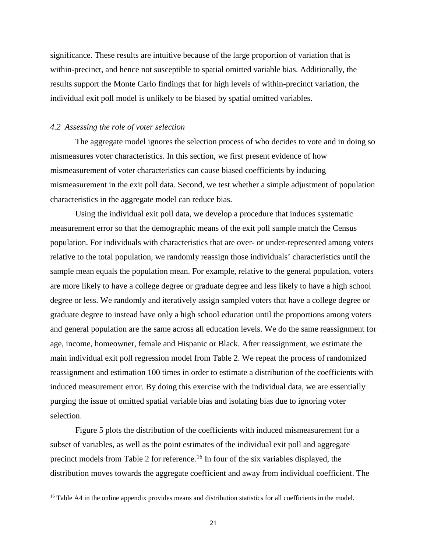significance. These results are intuitive because of the large proportion of variation that is within-precinct, and hence not susceptible to spatial omitted variable bias. Additionally, the results support the Monte Carlo findings that for high levels of within-precinct variation, the individual exit poll model is unlikely to be biased by spatial omitted variables.

### *4.2 Assessing the role of voter selection*

l

The aggregate model ignores the selection process of who decides to vote and in doing so mismeasures voter characteristics. In this section, we first present evidence of how mismeasurement of voter characteristics can cause biased coefficients by inducing mismeasurement in the exit poll data. Second, we test whether a simple adjustment of population characteristics in the aggregate model can reduce bias.

Using the individual exit poll data, we develop a procedure that induces systematic measurement error so that the demographic means of the exit poll sample match the Census population. For individuals with characteristics that are over- or under-represented among voters relative to the total population, we randomly reassign those individuals' characteristics until the sample mean equals the population mean. For example, relative to the general population, voters are more likely to have a college degree or graduate degree and less likely to have a high school degree or less. We randomly and iteratively assign sampled voters that have a college degree or graduate degree to instead have only a high school education until the proportions among voters and general population are the same across all education levels. We do the same reassignment for age, income, homeowner, female and Hispanic or Black. After reassignment, we estimate the main individual exit poll regression model from Table 2. We repeat the process of randomized reassignment and estimation 100 times in order to estimate a distribution of the coefficients with induced measurement error. By doing this exercise with the individual data, we are essentially purging the issue of omitted spatial variable bias and isolating bias due to ignoring voter selection.

Figure 5 plots the distribution of the coefficients with induced mismeasurement for a subset of variables, as well as the point estimates of the individual exit poll and aggregate precinct models from Table 2 for reference.<sup>[16](#page-21-0)</sup> In four of the six variables displayed, the distribution moves towards the aggregate coefficient and away from individual coefficient. The

<span id="page-21-0"></span><sup>&</sup>lt;sup>16</sup> Table A4 in the online appendix provides means and distribution statistics for all coefficients in the model.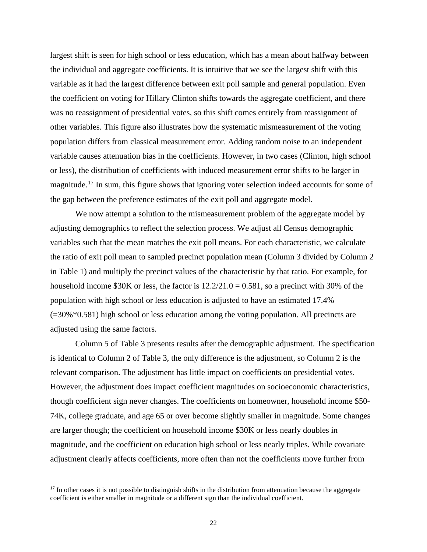largest shift is seen for high school or less education, which has a mean about halfway between the individual and aggregate coefficients. It is intuitive that we see the largest shift with this variable as it had the largest difference between exit poll sample and general population. Even the coefficient on voting for Hillary Clinton shifts towards the aggregate coefficient, and there was no reassignment of presidential votes, so this shift comes entirely from reassignment of other variables. This figure also illustrates how the systematic mismeasurement of the voting population differs from classical measurement error. Adding random noise to an independent variable causes attenuation bias in the coefficients. However, in two cases (Clinton, high school or less), the distribution of coefficients with induced measurement error shifts to be larger in magnitude.<sup>[17](#page-22-0)</sup> In sum, this figure shows that ignoring voter selection indeed accounts for some of the gap between the preference estimates of the exit poll and aggregate model.

We now attempt a solution to the mismeasurement problem of the aggregate model by adjusting demographics to reflect the selection process. We adjust all Census demographic variables such that the mean matches the exit poll means. For each characteristic, we calculate the ratio of exit poll mean to sampled precinct population mean (Column 3 divided by Column 2 in Table 1) and multiply the precinct values of the characteristic by that ratio. For example, for household income \$30K or less, the factor is  $12.2/21.0 = 0.581$ , so a precinct with 30% of the population with high school or less education is adjusted to have an estimated 17.4% (=30%\*0.581) high school or less education among the voting population. All precincts are adjusted using the same factors.

Column 5 of Table 3 presents results after the demographic adjustment. The specification is identical to Column 2 of Table 3, the only difference is the adjustment, so Column 2 is the relevant comparison. The adjustment has little impact on coefficients on presidential votes. However, the adjustment does impact coefficient magnitudes on socioeconomic characteristics, though coefficient sign never changes. The coefficients on homeowner, household income \$50- 74K, college graduate, and age 65 or over become slightly smaller in magnitude. Some changes are larger though; the coefficient on household income \$30K or less nearly doubles in magnitude, and the coefficient on education high school or less nearly triples. While covariate adjustment clearly affects coefficients, more often than not the coefficients move further from

l

<span id="page-22-0"></span> $17$  In other cases it is not possible to distinguish shifts in the distribution from attenuation because the aggregate coefficient is either smaller in magnitude or a different sign than the individual coefficient.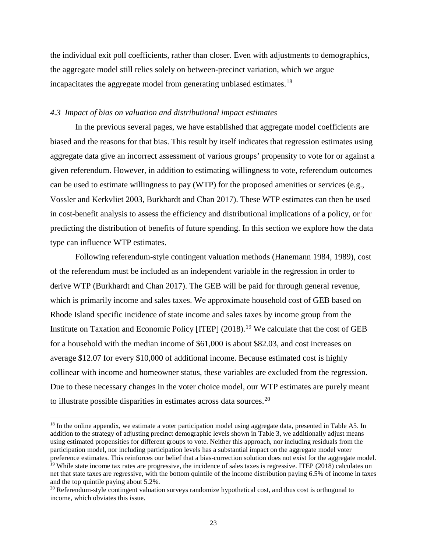the individual exit poll coefficients, rather than closer. Even with adjustments to demographics, the aggregate model still relies solely on between-precinct variation, which we argue incapacitates the aggregate model from generating unbiased estimates.<sup>[18](#page-23-0)</sup>

## *4.3 Impact of bias on valuation and distributional impact estimates*

In the previous several pages, we have established that aggregate model coefficients are biased and the reasons for that bias. This result by itself indicates that regression estimates using aggregate data give an incorrect assessment of various groups' propensity to vote for or against a given referendum. However, in addition to estimating willingness to vote, referendum outcomes can be used to estimate willingness to pay (WTP) for the proposed amenities or services (e.g., Vossler and Kerkvliet 2003, Burkhardt and Chan 2017). These WTP estimates can then be used in cost-benefit analysis to assess the efficiency and distributional implications of a policy, or for predicting the distribution of benefits of future spending. In this section we explore how the data type can influence WTP estimates.

Following referendum-style contingent valuation methods (Hanemann 1984, 1989), cost of the referendum must be included as an independent variable in the regression in order to derive WTP (Burkhardt and Chan 2017). The GEB will be paid for through general revenue, which is primarily income and sales taxes. We approximate household cost of GEB based on Rhode Island specific incidence of state income and sales taxes by income group from the Institute on Taxation and Economic Policy [ITEP]  $(2018)$ .<sup>[19](#page-23-1)</sup> We calculate that the cost of GEB for a household with the median income of \$61,000 is about \$82.03, and cost increases on average \$12.07 for every \$10,000 of additional income. Because estimated cost is highly collinear with income and homeowner status, these variables are excluded from the regression. Due to these necessary changes in the voter choice model, our WTP estimates are purely meant to illustrate possible disparities in estimates across data sources.<sup>[20](#page-23-2)</sup>

l

<span id="page-23-0"></span><sup>&</sup>lt;sup>18</sup> In the online appendix, we estimate a voter participation model using aggregate data, presented in Table A5. In addition to the strategy of adjusting precinct demographic levels shown in Table 3, we additionally adjust means using estimated propensities for different groups to vote. Neither this approach, nor including residuals from the participation model, nor including participation levels has a substantial impact on the aggregate model voter preference estimates. This reinforces our belief that a bias-correction solution does not exist for the aggregate model.  $19$  While state income tax rates are progressive, the incidence of sales taxes is regressive. ITEP (2018) calculates on net that state taxes are regressive, with the bottom quintile of the income distribution paying 6.5% of income in taxes

<span id="page-23-1"></span>and the top quintile paying about 5.2%.<br><sup>20</sup> Referendum-style contingent valuation surveys randomize hypothetical cost, and thus cost is orthogonal to

<span id="page-23-2"></span>income, which obviates this issue.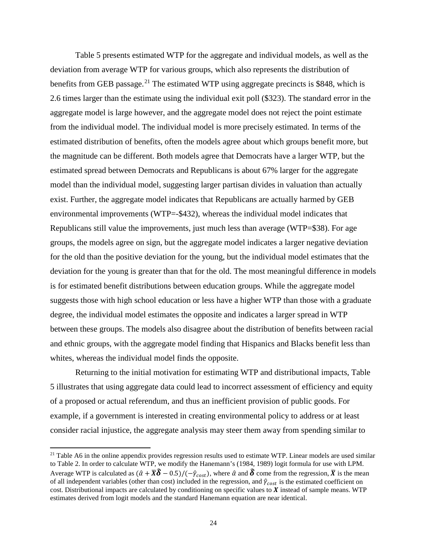Table 5 presents estimated WTP for the aggregate and individual models, as well as the deviation from average WTP for various groups, which also represents the distribution of benefits from GEB passage.<sup>[21](#page-24-0)</sup> The estimated WTP using aggregate precincts is \$848, which is 2.6 times larger than the estimate using the individual exit poll (\$323). The standard error in the aggregate model is large however, and the aggregate model does not reject the point estimate from the individual model. The individual model is more precisely estimated. In terms of the estimated distribution of benefits, often the models agree about which groups benefit more, but the magnitude can be different. Both models agree that Democrats have a larger WTP, but the estimated spread between Democrats and Republicans is about 67% larger for the aggregate model than the individual model, suggesting larger partisan divides in valuation than actually exist. Further, the aggregate model indicates that Republicans are actually harmed by GEB environmental improvements (WTP=-\$432), whereas the individual model indicates that Republicans still value the improvements, just much less than average (WTP=\$38). For age groups, the models agree on sign, but the aggregate model indicates a larger negative deviation for the old than the positive deviation for the young, but the individual model estimates that the deviation for the young is greater than that for the old. The most meaningful difference in models is for estimated benefit distributions between education groups. While the aggregate model suggests those with high school education or less have a higher WTP than those with a graduate degree, the individual model estimates the opposite and indicates a larger spread in WTP between these groups. The models also disagree about the distribution of benefits between racial and ethnic groups, with the aggregate model finding that Hispanics and Blacks benefit less than whites, whereas the individual model finds the opposite.

Returning to the initial motivation for estimating WTP and distributional impacts, Table 5 illustrates that using aggregate data could lead to incorrect assessment of efficiency and equity of a proposed or actual referendum, and thus an inefficient provision of public goods. For example, if a government is interested in creating environmental policy to address or at least consider racial injustice, the aggregate analysis may steer them away from spending similar to

 $\overline{a}$ 

<span id="page-24-0"></span> $21$  Table A6 in the online appendix provides regression results used to estimate WTP. Linear models are used similar to Table 2. In order to calculate WTP, we modify the Hanemann's (1984, 1989) logit formula for use with LPM. Average WTP is calculated as  $(\hat{\alpha} + \overline{X}\hat{\delta} - 0.5)/(-\hat{\gamma}_{cost})$ , where  $\hat{\alpha}$  and  $\hat{\delta}$  come from the regression,  $\overline{X}$  is the mean of all independent variables (other than cost) included in the regression, and  $\hat{\gamma}_{cost}$  is the estimated coefficient on cost. Distributional impacts are calculated by conditioning on specific values to  $X$  instead of sample means. WTP estimates derived from logit models and the standard Hanemann equation are near identical.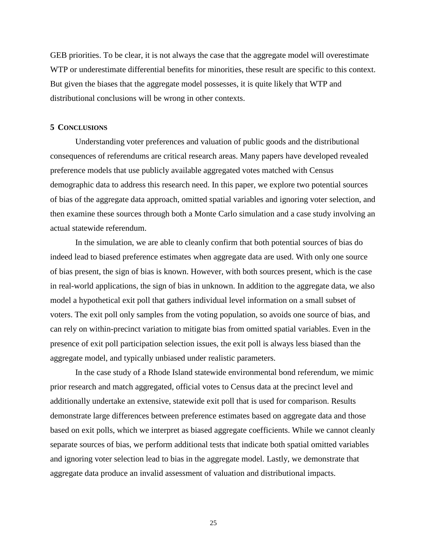GEB priorities. To be clear, it is not always the case that the aggregate model will overestimate WTP or underestimate differential benefits for minorities, these result are specific to this context. But given the biases that the aggregate model possesses, it is quite likely that WTP and distributional conclusions will be wrong in other contexts.

#### **5 CONCLUSIONS**

Understanding voter preferences and valuation of public goods and the distributional consequences of referendums are critical research areas. Many papers have developed revealed preference models that use publicly available aggregated votes matched with Census demographic data to address this research need. In this paper, we explore two potential sources of bias of the aggregate data approach, omitted spatial variables and ignoring voter selection, and then examine these sources through both a Monte Carlo simulation and a case study involving an actual statewide referendum.

In the simulation, we are able to cleanly confirm that both potential sources of bias do indeed lead to biased preference estimates when aggregate data are used. With only one source of bias present, the sign of bias is known. However, with both sources present, which is the case in real-world applications, the sign of bias in unknown. In addition to the aggregate data, we also model a hypothetical exit poll that gathers individual level information on a small subset of voters. The exit poll only samples from the voting population, so avoids one source of bias, and can rely on within-precinct variation to mitigate bias from omitted spatial variables. Even in the presence of exit poll participation selection issues, the exit poll is always less biased than the aggregate model, and typically unbiased under realistic parameters.

In the case study of a Rhode Island statewide environmental bond referendum, we mimic prior research and match aggregated, official votes to Census data at the precinct level and additionally undertake an extensive, statewide exit poll that is used for comparison. Results demonstrate large differences between preference estimates based on aggregate data and those based on exit polls, which we interpret as biased aggregate coefficients. While we cannot cleanly separate sources of bias, we perform additional tests that indicate both spatial omitted variables and ignoring voter selection lead to bias in the aggregate model. Lastly, we demonstrate that aggregate data produce an invalid assessment of valuation and distributional impacts.

25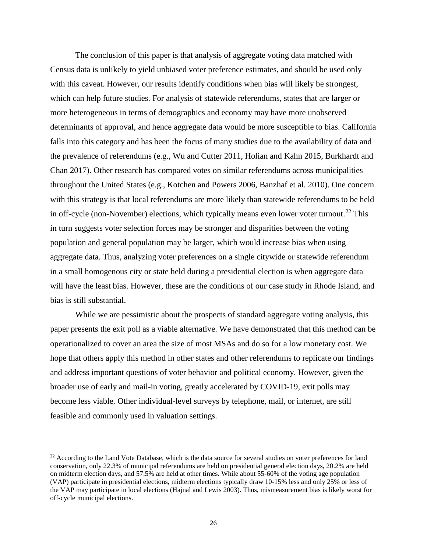The conclusion of this paper is that analysis of aggregate voting data matched with Census data is unlikely to yield unbiased voter preference estimates, and should be used only with this caveat. However, our results identify conditions when bias will likely be strongest, which can help future studies. For analysis of statewide referendums, states that are larger or more heterogeneous in terms of demographics and economy may have more unobserved determinants of approval, and hence aggregate data would be more susceptible to bias. California falls into this category and has been the focus of many studies due to the availability of data and the prevalence of referendums (e.g., Wu and Cutter 2011, Holian and Kahn 2015, Burkhardt and Chan 2017). Other research has compared votes on similar referendums across municipalities throughout the United States (e.g., Kotchen and Powers 2006, Banzhaf et al. 2010). One concern with this strategy is that local referendums are more likely than statewide referendums to be held in off-cycle (non-November) elections, which typically means even lower voter turnout.<sup>[22](#page-26-0)</sup> This in turn suggests voter selection forces may be stronger and disparities between the voting population and general population may be larger, which would increase bias when using aggregate data. Thus, analyzing voter preferences on a single citywide or statewide referendum in a small homogenous city or state held during a presidential election is when aggregate data will have the least bias. However, these are the conditions of our case study in Rhode Island, and bias is still substantial.

While we are pessimistic about the prospects of standard aggregate voting analysis, this paper presents the exit poll as a viable alternative. We have demonstrated that this method can be operationalized to cover an area the size of most MSAs and do so for a low monetary cost. We hope that others apply this method in other states and other referendums to replicate our findings and address important questions of voter behavior and political economy. However, given the broader use of early and mail-in voting, greatly accelerated by COVID-19, exit polls may become less viable. Other individual-level surveys by telephone, mail, or internet, are still feasible and commonly used in valuation settings.

 $\overline{a}$ 

<span id="page-26-0"></span><sup>&</sup>lt;sup>22</sup> According to the Land Vote Database, which is the data source for several studies on voter preferences for land conservation, only 22.3% of municipal referendums are held on presidential general election days, 20.2% are held on midterm election days, and 57.5% are held at other times. While about 55-60% of the voting age population (VAP) participate in presidential elections, midterm elections typically draw 10-15% less and only 25% or less of the VAP may participate in local elections (Hajnal and Lewis 2003). Thus, mismeasurement bias is likely worst for off-cycle municipal elections.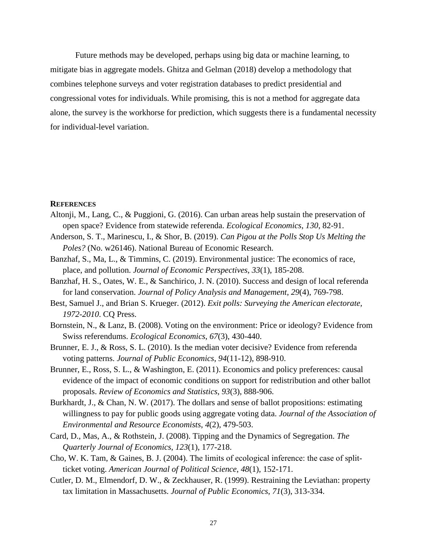Future methods may be developed, perhaps using big data or machine learning, to mitigate bias in aggregate models. Ghitza and Gelman (2018) develop a methodology that combines telephone surveys and voter registration databases to predict presidential and congressional votes for individuals. While promising, this is not a method for aggregate data alone, the survey is the workhorse for prediction, which suggests there is a fundamental necessity for individual-level variation.

#### **REFERENCES**

- Altonji, M., Lang, C., & Puggioni, G. (2016). Can urban areas help sustain the preservation of open space? Evidence from statewide referenda. *Ecological Economics*, *130*, 82-91.
- Anderson, S. T., Marinescu, I., & Shor, B. (2019). *Can Pigou at the Polls Stop Us Melting the Poles?* (No. w26146). National Bureau of Economic Research.
- Banzhaf, S., Ma, L., & Timmins, C. (2019). Environmental justice: The economics of race, place, and pollution. *Journal of Economic Perspectives*, *33*(1), 185-208.
- Banzhaf, H. S., Oates, W. E., & Sanchirico, J. N. (2010). Success and design of local referenda for land conservation. *Journal of Policy Analysis and Management*, *29*(4), 769-798.
- Best, Samuel J., and Brian S. Krueger. (2012). *Exit polls: Surveying the American electorate, 1972-2010*. CQ Press.
- Bornstein, N., & Lanz, B. (2008). Voting on the environment: Price or ideology? Evidence from Swiss referendums. *Ecological Economics*, *67*(3), 430-440.
- Brunner, E. J., & Ross, S. L. (2010). Is the median voter decisive? Evidence from referenda voting patterns. *Journal of Public Economics*, *94*(11-12), 898-910.
- Brunner, E., Ross, S. L., & Washington, E. (2011). Economics and policy preferences: causal evidence of the impact of economic conditions on support for redistribution and other ballot proposals. *Review of Economics and Statistics*, *93*(3), 888-906.
- Burkhardt, J., & Chan, N. W. (2017). The dollars and sense of ballot propositions: estimating willingness to pay for public goods using aggregate voting data. *Journal of the Association of Environmental and Resource Economists*, *4*(2), 479-503.
- Card, D., Mas, A., & Rothstein, J. (2008). Tipping and the Dynamics of Segregation. *The Quarterly Journal of Economics*, *123*(1), 177-218.
- Cho, W. K. Tam, & Gaines, B. J. (2004). The limits of ecological inference: the case of split‐ ticket voting. *American Journal of Political Science*, *48*(1), 152-171.
- Cutler, D. M., Elmendorf, D. W., & Zeckhauser, R. (1999). Restraining the Leviathan: property tax limitation in Massachusetts. *Journal of Public Economics*, *71*(3), 313-334.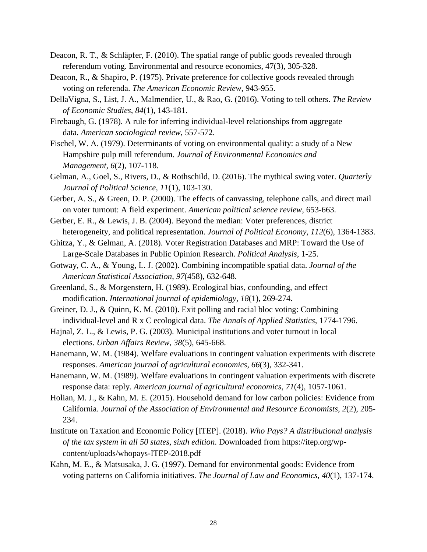- Deacon, R. T., & Schläpfer, F. (2010). The spatial range of public goods revealed through referendum voting. Environmental and resource economics, 47(3), 305-328.
- Deacon, R., & Shapiro, P. (1975). Private preference for collective goods revealed through voting on referenda. *The American Economic Review*, 943-955.
- DellaVigna, S., List, J. A., Malmendier, U., & Rao, G. (2016). Voting to tell others. *The Review of Economic Studies*, *84*(1), 143-181.
- Firebaugh, G. (1978). A rule for inferring individual-level relationships from aggregate data. *American sociological review*, 557-572.
- Fischel, W. A. (1979). Determinants of voting on environmental quality: a study of a New Hampshire pulp mill referendum. *Journal of Environmental Economics and Management*, *6*(2), 107-118.
- Gelman, A., Goel, S., Rivers, D., & Rothschild, D. (2016). The mythical swing voter. *Quarterly Journal of Political Science*, *11*(1), 103-130.
- Gerber, A. S., & Green, D. P. (2000). The effects of canvassing, telephone calls, and direct mail on voter turnout: A field experiment. *American political science review*, 653-663.
- Gerber, E. R., & Lewis, J. B. (2004). Beyond the median: Voter preferences, district heterogeneity, and political representation. *Journal of Political Economy*, *112*(6), 1364-1383.
- Ghitza, Y., & Gelman, A. (2018). Voter Registration Databases and MRP: Toward the Use of Large-Scale Databases in Public Opinion Research. *Political Analysis*, 1-25.
- Gotway, C. A., & Young, L. J. (2002). Combining incompatible spatial data. *Journal of the American Statistical Association*, *97*(458), 632-648.
- Greenland, S., & Morgenstern, H. (1989). Ecological bias, confounding, and effect modification. *International journal of epidemiology*, *18*(1), 269-274.
- Greiner, D. J., & Quinn, K. M. (2010). Exit polling and racial bloc voting: Combining individual-level and R x C ecological data. *The Annals of Applied Statistics*, 1774-1796.
- Hajnal, Z. L., & Lewis, P. G. (2003). Municipal institutions and voter turnout in local elections. *Urban Affairs Review*, *38*(5), 645-668.
- Hanemann, W. M. (1984). Welfare evaluations in contingent valuation experiments with discrete responses. *American journal of agricultural economics*, *66*(3), 332-341.
- Hanemann, W. M. (1989). Welfare evaluations in contingent valuation experiments with discrete response data: reply. *American journal of agricultural economics*, *71*(4), 1057-1061.
- Holian, M. J., & Kahn, M. E. (2015). Household demand for low carbon policies: Evidence from California. *Journal of the Association of Environmental and Resource Economists*, *2*(2), 205- 234.
- Institute on Taxation and Economic Policy [ITEP]. (2018). *Who Pays? A distributional analysis of the tax system in all 50 states, sixth edition*. Downloaded from https://itep.org/wpcontent/uploads/whopays-ITEP-2018.pdf
- Kahn, M. E., & Matsusaka, J. G. (1997). Demand for environmental goods: Evidence from voting patterns on California initiatives. *The Journal of Law and Economics*, *40*(1), 137-174.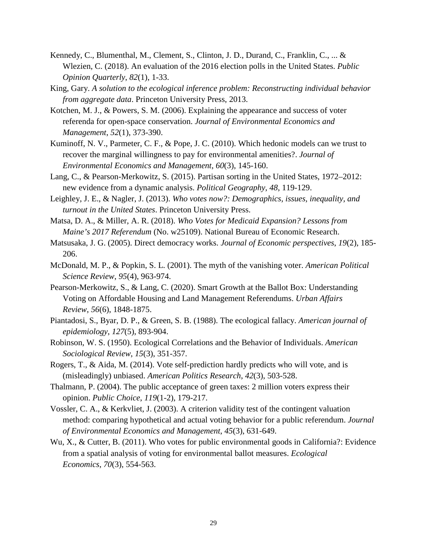- Kennedy, C., Blumenthal, M., Clement, S., Clinton, J. D., Durand, C., Franklin, C., ... & Wlezien, C. (2018). An evaluation of the 2016 election polls in the United States. *Public Opinion Quarterly*, *82*(1), 1-33.
- King, Gary. *A solution to the ecological inference problem: Reconstructing individual behavior from aggregate data*. Princeton University Press, 2013.
- Kotchen, M. J., & Powers, S. M. (2006). Explaining the appearance and success of voter referenda for open-space conservation. *Journal of Environmental Economics and Management*, *52*(1), 373-390.
- Kuminoff, N. V., Parmeter, C. F., & Pope, J. C. (2010). Which hedonic models can we trust to recover the marginal willingness to pay for environmental amenities?. *Journal of Environmental Economics and Management*, *60*(3), 145-160.
- Lang, C., & Pearson-Merkowitz, S. (2015). Partisan sorting in the United States, 1972–2012: new evidence from a dynamic analysis. *Political Geography*, *48*, 119-129.
- Leighley, J. E., & Nagler, J. (2013). *Who votes now?: Demographics, issues, inequality, and turnout in the United States*. Princeton University Press.
- Matsa, D. A., & Miller, A. R. (2018). *Who Votes for Medicaid Expansion? Lessons from Maine's 2017 Referendum* (No. w25109). National Bureau of Economic Research.
- Matsusaka, J. G. (2005). Direct democracy works. *Journal of Economic perspectives*, *19*(2), 185- 206.
- McDonald, M. P., & Popkin, S. L. (2001). The myth of the vanishing voter. *American Political Science Review*, *95*(4), 963-974.
- Pearson-Merkowitz, S., & Lang, C. (2020). Smart Growth at the Ballot Box: Understanding Voting on Affordable Housing and Land Management Referendums. *Urban Affairs Review*, *56*(6), 1848-1875.
- Piantadosi, S., Byar, D. P., & Green, S. B. (1988). The ecological fallacy. *American journal of epidemiology*, *127*(5), 893-904.
- Robinson, W. S. (1950). Ecological Correlations and the Behavior of Individuals. *American Sociological Review*, *15*(3), 351-357.
- Rogers, T., & Aida, M. (2014). Vote self-prediction hardly predicts who will vote, and is (misleadingly) unbiased. *American Politics Research*, *42*(3), 503-528.
- Thalmann, P. (2004). The public acceptance of green taxes: 2 million voters express their opinion. *Public Choice*, *119*(1-2), 179-217.
- Vossler, C. A., & Kerkvliet, J. (2003). A criterion validity test of the contingent valuation method: comparing hypothetical and actual voting behavior for a public referendum. *Journal of Environmental Economics and Management*, *45*(3), 631-649.
- Wu, X., & Cutter, B. (2011). Who votes for public environmental goods in California?: Evidence from a spatial analysis of voting for environmental ballot measures. *Ecological Economics*, *70*(3), 554-563.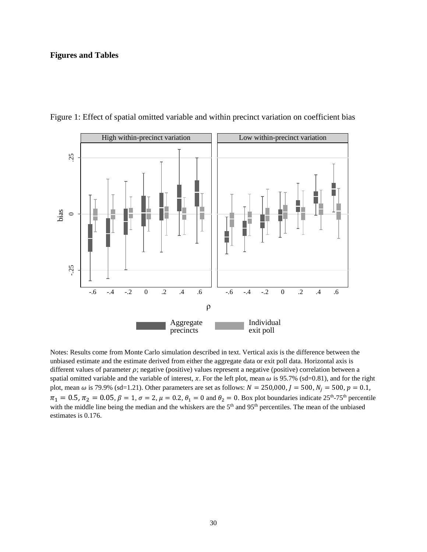### **Figures and Tables**



Figure 1: Effect of spatial omitted variable and within precinct variation on coefficient bias

Notes: Results come from Monte Carlo simulation described in text. Vertical axis is the difference between the unbiased estimate and the estimate derived from either the aggregate data or exit poll data. Horizontal axis is different values of parameter  $\rho$ ; negative (positive) values represent a negative (positive) correlation between a spatial omitted variable and the variable of interest, x. For the left plot, mean  $\omega$  is 95.7% (sd=0.81), and for the right plot, mean  $\omega$  is 79.9% (sd=1.21). Other parameters are set as follows:  $N = 250,000, J = 500, N<sub>j</sub> = 500, p = 0.1$ ,  $\pi_1 = 0.5$ ,  $\pi_2 = 0.05$ ,  $\beta = 1$ ,  $\sigma = 2$ ,  $\mu = 0.2$ ,  $\theta_1 = 0$  and  $\theta_2 = 0$ . Box plot boundaries indicate  $25^{th}$ -75<sup>th</sup> percentile with the middle line being the median and the whiskers are the 5<sup>th</sup> and 95<sup>th</sup> percentiles. The mean of the unbiased estimates is 0.176.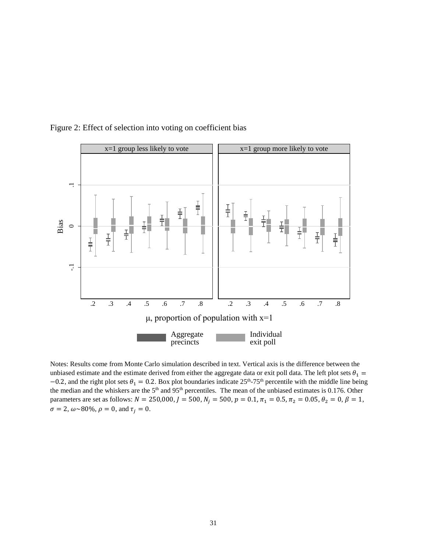

Figure 2: Effect of selection into voting on coefficient bias

Notes: Results come from Monte Carlo simulation described in text. Vertical axis is the difference between the unbiased estimate and the estimate derived from either the aggregate data or exit poll data. The left plot sets  $\theta_1$  =  $-0.2$ , and the right plot sets  $\theta_1 = 0.2$ . Box plot boundaries indicate 25<sup>th</sup>-75<sup>th</sup> percentile with the middle line being the median and the whiskers are the  $5<sup>th</sup>$  and  $95<sup>th</sup>$  percentiles. The mean of the unbiased estimates is 0.176. Other parameters are set as follows:  $N = 250,000, J = 500, N<sub>j</sub> = 500, p = 0.1, \pi<sub>1</sub> = 0.5, \pi<sub>2</sub> = 0.05, \theta<sub>2</sub> = 0, \beta = 1,$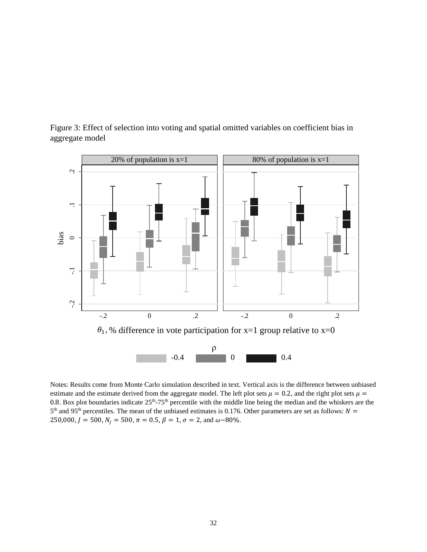

Figure 3: Effect of selection into voting and spatial omitted variables on coefficient bias in aggregate model

Notes: Results come from Monte Carlo simulation described in text. Vertical axis is the difference between unbiased estimate and the estimate derived from the aggregate model. The left plot sets  $\mu = 0.2$ , and the right plot sets  $\mu =$ 0.8. Box plot boundaries indicate  $25<sup>th</sup>-75<sup>th</sup>$  percentile with the middle line being the median and the whiskers are the  $5<sup>th</sup>$  and 95<sup>th</sup> percentiles. The mean of the unbiased estimates is 0.176. Other parameters are set as follows:  $N =$ 250,000,  $J = 500$ ,  $N_i = 500$ ,  $\pi = 0.5$ ,  $\beta = 1$ ,  $\sigma = 2$ , and  $\omega \sim 80\%$ .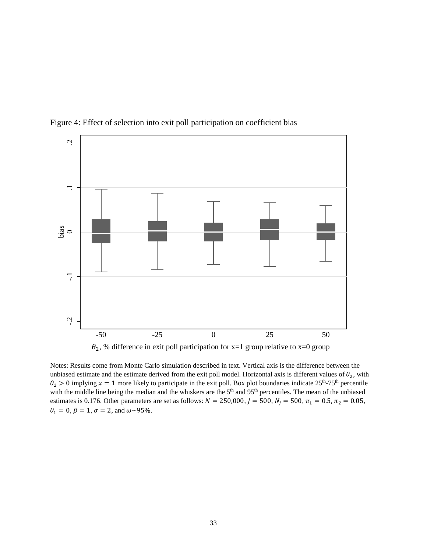

Figure 4: Effect of selection into exit poll participation on coefficient bias



Notes: Results come from Monte Carlo simulation described in text. Vertical axis is the difference between the unbiased estimate and the estimate derived from the exit poll model. Horizontal axis is different values of  $\theta_2$ , with  $\theta_2 > 0$  implying  $x = 1$  more likely to participate in the exit poll. Box plot boundaries indicate  $25^{th}$ -75<sup>th</sup> percentile with the middle line being the median and the whiskers are the 5<sup>th</sup> and 95<sup>th</sup> percentiles. The mean of the unbiased estimates is 0.176. Other parameters are set as follows:  $N = 250,000, J = 500, N<sub>j</sub> = 500, \pi<sub>1</sub> = 0.5, \pi<sub>2</sub> = 0.05,$  $\theta_1 = 0$ ,  $\beta = 1$ ,  $\sigma = 2$ , and  $\omega \sim 95\%$ .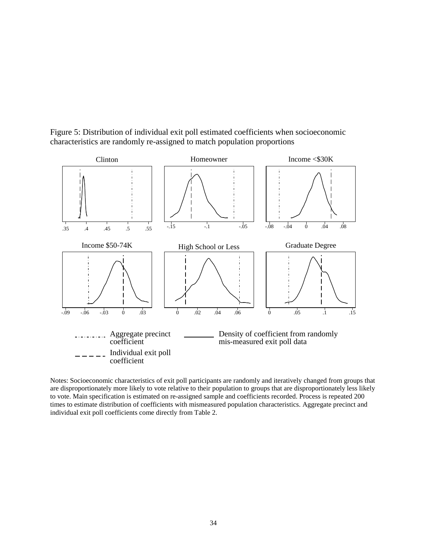

Figure 5: Distribution of individual exit poll estimated coefficients when socioeconomic characteristics are randomly re-assigned to match population proportions

Notes: Socioeconomic characteristics of exit poll participants are randomly and iteratively changed from groups that are disproportionately more likely to vote relative to their population to groups that are disproportionately less likely to vote. Main specification is estimated on re-assigned sample and coefficients recorded. Process is repeated 200 times to estimate distribution of coefficients with mismeasured population characteristics. Aggregate precinct and individual exit poll coefficients come directly from Table 2.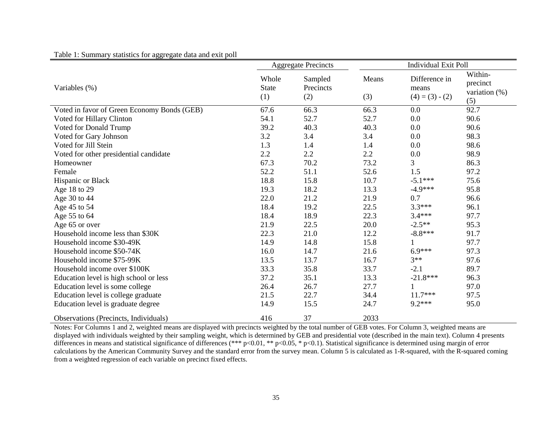Table 1: Summary statistics for aggregate data and exit poll

|                                             | <b>Aggregate Precincts</b>   |                             | <b>Individual Exit Poll</b> |                                             |                                                |
|---------------------------------------------|------------------------------|-----------------------------|-----------------------------|---------------------------------------------|------------------------------------------------|
| Variables (%)                               | Whole<br><b>State</b><br>(1) | Sampled<br>Precincts<br>(2) | Means<br>(3)                | Difference in<br>means<br>$(4) = (3) - (2)$ | Within-<br>precinct<br>variation $(\%)$<br>(5) |
| Voted in favor of Green Economy Bonds (GEB) | 67.6                         | 66.3                        | 66.3                        | 0.0                                         | 92.7                                           |
| Voted for Hillary Clinton                   | 54.1                         | 52.7                        | 52.7                        | 0.0                                         | 90.6                                           |
| Voted for Donald Trump                      | 39.2                         | 40.3                        | 40.3                        | 0.0                                         | 90.6                                           |
| Voted for Gary Johnson                      | 3.2                          | 3.4                         | 3.4                         | 0.0                                         | 98.3                                           |
| Voted for Jill Stein                        | 1.3                          | 1.4                         | 1.4                         | 0.0                                         | 98.6                                           |
| Voted for other presidential candidate      | 2.2                          | 2.2                         | 2.2                         | 0.0                                         | 98.9                                           |
| Homeowner                                   | 67.3                         | 70.2                        | 73.2                        | 3                                           | 86.3                                           |
| Female                                      | 52.2                         | 51.1                        | 52.6                        | 1.5                                         | 97.2                                           |
| Hispanic or Black                           | 18.8                         | 15.8                        | 10.7                        | $-5.1***$                                   | 75.6                                           |
| Age 18 to 29                                | 19.3                         | 18.2                        | 13.3                        | $-4.9***$                                   | 95.8                                           |
| Age 30 to 44                                | 22.0                         | 21.2                        | 21.9                        | 0.7                                         | 96.6                                           |
| Age 45 to 54                                | 18.4                         | 19.2                        | 22.5                        | $3.3***$                                    | 96.1                                           |
| Age 55 to 64                                | 18.4                         | 18.9                        | 22.3                        | $3.4***$                                    | 97.7                                           |
| Age 65 or over                              | 21.9                         | 22.5                        | 20.0                        | $-2.5**$                                    | 95.3                                           |
| Household income less than \$30K            | 22.3                         | 21.0                        | 12.2                        | $-8.8$ ***                                  | 91.7                                           |
| Household income \$30-49K                   | 14.9                         | 14.8                        | 15.8                        |                                             | 97.7                                           |
| Household income \$50-74K                   | 16.0                         | 14.7                        | 21.6                        | $6.9***$                                    | 97.3                                           |
| Household income \$75-99K                   | 13.5                         | 13.7                        | 16.7                        | $3**$                                       | 97.6                                           |
| Household income over \$100K                | 33.3                         | 35.8                        | 33.7                        | $-2.1$                                      | 89.7                                           |
| Education level is high school or less      | 37.2                         | 35.1                        | 13.3                        | $-21.8***$                                  | 96.3                                           |
| Education level is some college             | 26.4                         | 26.7                        | 27.7                        |                                             | 97.0                                           |
| Education level is college graduate         | 21.5                         | 22.7                        | 34.4                        | $11.7***$                                   | 97.5                                           |
| Education level is graduate degree          | 14.9                         | 15.5                        | 24.7                        | $9.2***$                                    | 95.0                                           |
| Observations (Precincts, Individuals)       | 416                          | 37                          | 2033                        |                                             |                                                |

Notes: For Columns 1 and 2, weighted means are displayed with precincts weighted by the total number of GEB votes. For Column 3, weighted means are displayed with individuals weighted by their sampling weight, which is determined by GEB and presidential vote (described in the main text). Column 4 presents differences in means and statistical significance of differences (\*\*\* p<0.01, \*\* p<0.05, \* p<0.1). Statistical significance is determined using margin of error calculations by the American Community Survey and the standard error from the survey mean. Column 5 is calculated as 1-R-squared, with the R-squared coming from a weighted regression of each variable on precinct fixed effects.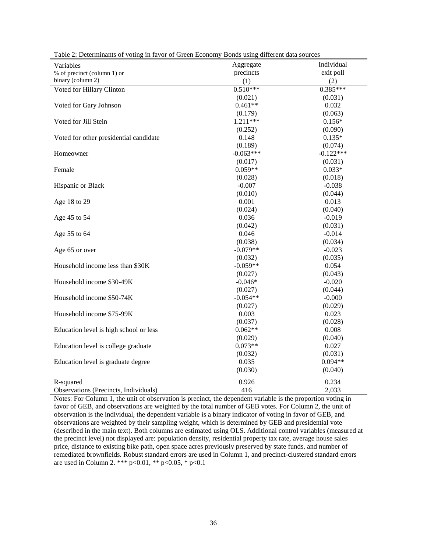| Variables                              | Aggregate   | Individual  |
|----------------------------------------|-------------|-------------|
| % of precinct (column 1) or            | precincts   | exit poll   |
| binary (column 2)                      | (1)         | (2)         |
| Voted for Hillary Clinton              | $0.510***$  | $0.385***$  |
|                                        | (0.021)     | (0.031)     |
| Voted for Gary Johnson                 | $0.461**$   | 0.032       |
|                                        | (0.179)     | (0.063)     |
| Voted for Jill Stein                   | 1.211***    | $0.156*$    |
|                                        | (0.252)     | (0.090)     |
| Voted for other presidential candidate | 0.148       | $0.135*$    |
|                                        | (0.189)     | (0.074)     |
| Homeowner                              | $-0.063***$ | $-0.122***$ |
|                                        | (0.017)     | (0.031)     |
| Female                                 | $0.059**$   | $0.033*$    |
|                                        | (0.028)     | (0.018)     |
| Hispanic or Black                      | $-0.007$    | $-0.038$    |
|                                        | (0.010)     | (0.044)     |
| Age 18 to 29                           | 0.001       | 0.013       |
|                                        | (0.024)     | (0.040)     |
| Age 45 to 54                           | 0.036       | $-0.019$    |
|                                        | (0.042)     | (0.031)     |
| Age 55 to 64                           | 0.046       | $-0.014$    |
|                                        | (0.038)     | (0.034)     |
| Age 65 or over                         | $-0.079**$  | $-0.023$    |
|                                        | (0.032)     | (0.035)     |
| Household income less than \$30K       | $-0.059**$  | 0.054       |
|                                        | (0.027)     | (0.043)     |
| Household income \$30-49K              | $-0.046*$   | $-0.020$    |
|                                        | (0.027)     | (0.044)     |
| Household income \$50-74K              | $-0.054**$  | $-0.000$    |
|                                        | (0.027)     | (0.029)     |
| Household income \$75-99K              | 0.003       | 0.023       |
|                                        | (0.037)     | (0.028)     |
| Education level is high school or less | $0.062**$   | 0.008       |
|                                        | (0.029)     | (0.040)     |
| Education level is college graduate    | $0.073**$   | 0.027       |
|                                        | (0.032)     | (0.031)     |
| Education level is graduate degree     | 0.035       | $0.094**$   |
|                                        | (0.030)     | (0.040)     |
| R-squared                              | 0.926       | 0.234       |
| Observations (Precincts, Individuals)  | 416         | 2,033       |

Table 2: Determinants of voting in favor of Green Economy Bonds using different data sources

Notes: For Column 1, the unit of observation is precinct, the dependent variable is the proportion voting in favor of GEB, and observations are weighted by the total number of GEB votes. For Column 2, the unit of observation is the individual, the dependent variable is a binary indicator of voting in favor of GEB, and observations are weighted by their sampling weight, which is determined by GEB and presidential vote (described in the main text). Both columns are estimated using OLS. Additional control variables (measured at the precinct level) not displayed are: population density, residential property tax rate, average house sales price, distance to existing bike path, open space acres previously preserved by state funds, and number of remediated brownfields. Robust standard errors are used in Column 1, and precinct-clustered standard errors are used in Column 2. \*\*\*  $p<0.01$ , \*\*  $p<0.05$ , \*  $p<0.1$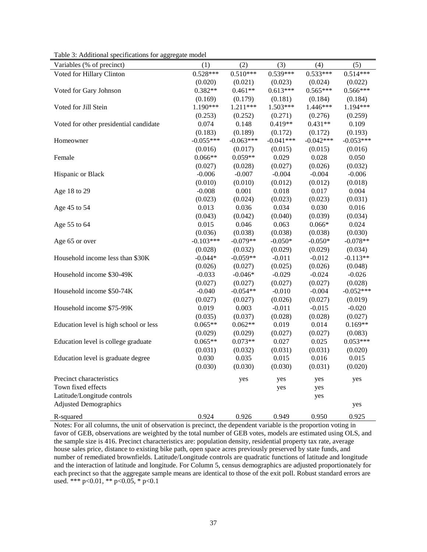| Variables (% of precinct)              | (1)         | (2)         | (3)         | (4)         | (5)         |
|----------------------------------------|-------------|-------------|-------------|-------------|-------------|
| Voted for Hillary Clinton              | $0.528***$  | $0.510***$  | $0.539***$  | $0.533***$  | $0.514***$  |
|                                        | (0.020)     | (0.021)     | (0.023)     | (0.024)     | (0.022)     |
| Voted for Gary Johnson                 | $0.382**$   | $0.461**$   | $0.613***$  | $0.565***$  | $0.566***$  |
|                                        | (0.169)     | (0.179)     | (0.181)     | (0.184)     | (0.184)     |
| Voted for Jill Stein                   | 1.190***    | 1.211***    | 1.503***    | 1.446***    | 1.194***    |
|                                        | (0.253)     | (0.252)     | (0.271)     | (0.276)     | (0.259)     |
| Voted for other presidential candidate | 0.074       | 0.148       | $0.419**$   | $0.431**$   | 0.109       |
|                                        | (0.183)     | (0.189)     | (0.172)     | (0.172)     | (0.193)     |
| Homeowner                              | $-0.055***$ | $-0.063***$ | $-0.041***$ | $-0.042***$ | $-0.053***$ |
|                                        | (0.016)     | (0.017)     | (0.015)     | (0.015)     | (0.016)     |
| Female                                 | $0.066**$   | $0.059**$   | 0.029       | 0.028       | 0.050       |
|                                        | (0.027)     | (0.028)     | (0.027)     | (0.026)     | (0.032)     |
| Hispanic or Black                      | $-0.006$    | $-0.007$    | $-0.004$    | $-0.004$    | $-0.006$    |
|                                        | (0.010)     | (0.010)     | (0.012)     | (0.012)     | (0.018)     |
| Age 18 to 29                           | $-0.008$    | 0.001       | 0.018       | 0.017       | 0.004       |
|                                        | (0.023)     | (0.024)     | (0.023)     | (0.023)     | (0.031)     |
| Age 45 to 54                           | 0.013       | 0.036       | 0.034       | 0.030       | 0.016       |
|                                        | (0.043)     | (0.042)     | (0.040)     | (0.039)     | (0.034)     |
| Age 55 to 64                           | 0.015       | 0.046       | 0.063       | $0.066*$    | 0.024       |
|                                        | (0.036)     | (0.038)     | (0.038)     | (0.038)     | (0.030)     |
| Age 65 or over                         | $-0.103***$ | $-0.079**$  | $-0.050*$   | $-0.050*$   | $-0.078**$  |
|                                        | (0.028)     | (0.032)     | (0.029)     | (0.029)     | (0.034)     |
| Household income less than \$30K       | $-0.044*$   | $-0.059**$  | $-0.011$    | $-0.012$    | $-0.113**$  |
|                                        | (0.026)     | (0.027)     | (0.025)     | (0.026)     | (0.048)     |
| Household income \$30-49K              | $-0.033$    | $-0.046*$   | $-0.029$    | $-0.024$    | $-0.026$    |
|                                        | (0.027)     | (0.027)     | (0.027)     | (0.027)     | (0.028)     |
| Household income \$50-74K              | $-0.040$    | $-0.054**$  | $-0.010$    | $-0.004$    | $-0.052***$ |
|                                        | (0.027)     | (0.027)     | (0.026)     | (0.027)     | (0.019)     |
| Household income \$75-99K              | 0.019       | 0.003       | $-0.011$    | $-0.015$    | $-0.020$    |
|                                        | (0.035)     | (0.037)     | (0.028)     | (0.028)     | (0.027)     |
| Education level is high school or less | $0.065**$   | $0.062**$   | 0.019       | 0.014       | $0.169**$   |
|                                        | (0.029)     | (0.029)     | (0.027)     | (0.027)     | (0.083)     |
| Education level is college graduate    | $0.065**$   | $0.073**$   | 0.027       | 0.025       | $0.053***$  |
|                                        | (0.031)     | (0.032)     | (0.031)     | (0.031)     | (0.020)     |
| Education level is graduate degree     | 0.030       | 0.035       | 0.015       | 0.016       | 0.015       |
|                                        | (0.030)     | (0.030)     | (0.030)     | (0.031)     | (0.020)     |
| Precinct characteristics               |             | yes         | yes         | yes         | yes         |
| Town fixed effects                     |             |             | yes         | yes         |             |
| Latitude/Longitude controls            |             |             |             | yes         |             |
| <b>Adjusted Demographics</b>           |             |             |             |             | yes         |
| R-squared                              | 0.924       | 0.926       | 0.949       | 0.950       | 0.925       |

Table 3: Additional specifications for aggregate model

Notes: For all columns, the unit of observation is precinct, the dependent variable is the proportion voting in favor of GEB, observations are weighted by the total number of GEB votes, models are estimated using OLS, and the sample size is 416. Precinct characteristics are: population density, residential property tax rate, average house sales price, distance to existing bike path, open space acres previously preserved by state funds, and number of remediated brownfields. Latitude/Longitude controls are quadratic functions of latitude and longitude and the interaction of latitude and longitude. For Column 5, census demographics are adjusted proportionately for each precinct so that the aggregate sample means are identical to those of the exit poll. Robust standard errors are used. \*\*\* p<0.01, \*\* p<0.05, \* p<0.1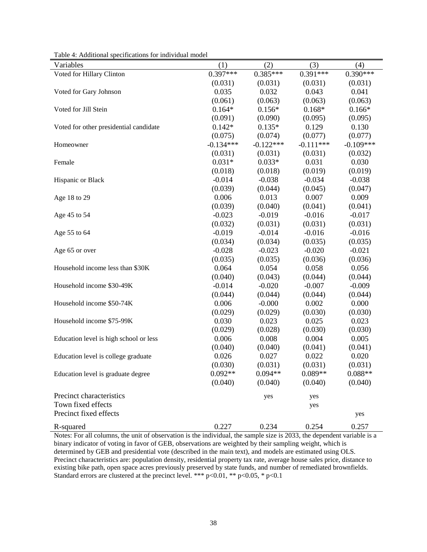| Variables                              | (1)         | (2)         | (3)         | (4)         |
|----------------------------------------|-------------|-------------|-------------|-------------|
| Voted for Hillary Clinton              | $0.397***$  | $0.385***$  | $0.391***$  | $0.390***$  |
|                                        | (0.031)     | (0.031)     | (0.031)     | (0.031)     |
| Voted for Gary Johnson                 | 0.035       | 0.032       | 0.043       | 0.041       |
|                                        | (0.061)     | (0.063)     | (0.063)     | (0.063)     |
| Voted for Jill Stein                   | $0.164*$    | $0.156*$    | $0.168*$    | $0.166*$    |
|                                        | (0.091)     | (0.090)     | (0.095)     | (0.095)     |
| Voted for other presidential candidate | $0.142*$    | $0.135*$    | 0.129       | 0.130       |
|                                        | (0.075)     | (0.074)     | (0.077)     | (0.077)     |
| Homeowner                              | $-0.134***$ | $-0.122***$ | $-0.111***$ | $-0.109***$ |
|                                        | (0.031)     | (0.031)     | (0.031)     | (0.032)     |
| Female                                 | $0.031*$    | $0.033*$    | 0.031       | 0.030       |
|                                        | (0.018)     | (0.018)     | (0.019)     | (0.019)     |
| Hispanic or Black                      | $-0.014$    | $-0.038$    | $-0.034$    | $-0.038$    |
|                                        | (0.039)     | (0.044)     | (0.045)     | (0.047)     |
| Age 18 to 29                           | 0.006       | 0.013       | 0.007       | 0.009       |
|                                        | (0.039)     | (0.040)     | (0.041)     | (0.041)     |
| Age 45 to 54                           | $-0.023$    | $-0.019$    | $-0.016$    | $-0.017$    |
|                                        | (0.032)     | (0.031)     | (0.031)     | (0.031)     |
| Age 55 to 64                           | $-0.019$    | $-0.014$    | $-0.016$    | $-0.016$    |
|                                        | (0.034)     | (0.034)     | (0.035)     | (0.035)     |
| Age 65 or over                         | $-0.028$    | $-0.023$    | $-0.020$    | $-0.021$    |
|                                        | (0.035)     | (0.035)     | (0.036)     | (0.036)     |
| Household income less than \$30K       | 0.064       | 0.054       | 0.058       | 0.056       |
|                                        | (0.040)     | (0.043)     | (0.044)     | (0.044)     |
| Household income \$30-49K              | $-0.014$    | $-0.020$    | $-0.007$    | $-0.009$    |
|                                        | (0.044)     | (0.044)     | (0.044)     | (0.044)     |
| Household income \$50-74K              | 0.006       | $-0.000$    | 0.002       | 0.000       |
|                                        | (0.029)     | (0.029)     | (0.030)     | (0.030)     |
| Household income \$75-99K              | 0.030       | 0.023       | 0.025       | 0.023       |
|                                        | (0.029)     | (0.028)     | (0.030)     | (0.030)     |
| Education level is high school or less | 0.006       | 0.008       | 0.004       | 0.005       |
|                                        | (0.040)     | (0.040)     | (0.041)     | (0.041)     |
| Education level is college graduate    | 0.026       | 0.027       | 0.022       | 0.020       |
|                                        | (0.030)     | (0.031)     | (0.031)     | (0.031)     |
| Education level is graduate degree     | $0.092**$   | $0.094**$   | $0.089**$   | $0.088**$   |
|                                        | (0.040)     | (0.040)     | (0.040)     | (0.040)     |
| Precinct characteristics               |             | yes         | yes         |             |
| Town fixed effects                     |             |             | yes         |             |
| Precinct fixed effects                 |             |             |             | yes         |
|                                        |             |             |             |             |
| R-squared                              | 0.227       | 0.234       | 0.254       | 0.257       |

Table 4: Additional specifications for individual model

Notes: For all columns, the unit of observation is the individual, the sample size is 2033, the dependent variable is a binary indicator of voting in favor of GEB, observations are weighted by their sampling weight, which is determined by GEB and presidential vote (described in the main text), and models are estimated using OLS. Precinct characteristics are: population density, residential property tax rate, average house sales price, distance to existing bike path, open space acres previously preserved by state funds, and number of remediated brownfields. Standard errors are clustered at the precinct level. \*\*\*  $p<0.01$ , \*\*  $p<0.05$ , \*  $p<0.1$